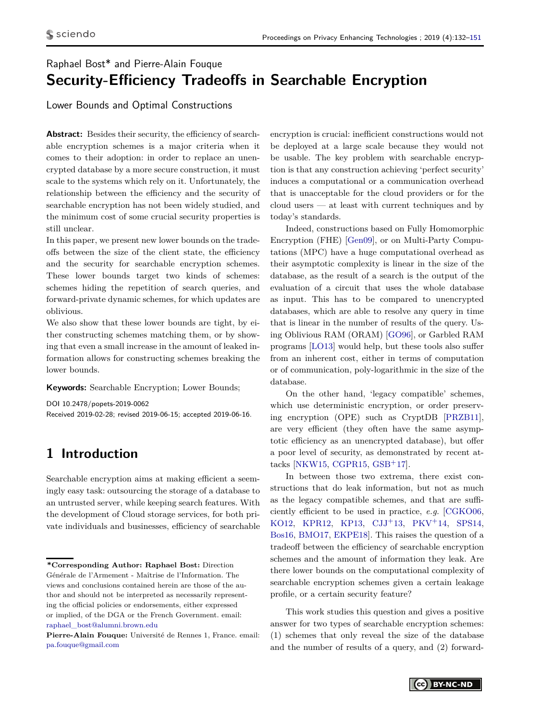# Raphael Bost\* and Pierre-Alain Fouque **Security-Efficiency Tradeoffs in Searchable Encryption**

Lower Bounds and Optimal Constructions

Abstract: Besides their security, the efficiency of searchable encryption schemes is a major criteria when it comes to their adoption: in order to replace an unencrypted database by a more secure construction, it must scale to the systems which rely on it. Unfortunately, the relationship between the efficiency and the security of searchable encryption has not been widely studied, and the minimum cost of some crucial security properties is still unclear.

In this paper, we present new lower bounds on the tradeoffs between the size of the client state, the efficiency and the security for searchable encryption schemes. These lower bounds target two kinds of schemes: schemes hiding the repetition of search queries, and forward-private dynamic schemes, for which updates are oblivious.

We also show that these lower bounds are tight, by either constructing schemes matching them, or by showing that even a small increase in the amount of leaked information allows for constructing schemes breaking the lower bounds.

**Keywords:** Searchable Encryption; Lower Bounds;

DOI 10.2478/popets-2019-0062 Received 2019-02-28; revised 2019-06-15; accepted 2019-06-16.

# **1 Introduction**

Searchable encryption aims at making efficient a seemingly easy task: outsourcing the storage of a database to an untrusted server, while keeping search features. With the development of Cloud storage services, for both private individuals and businesses, efficiency of searchable encryption is crucial: inefficient constructions would not be deployed at a large scale because they would not be usable. The key problem with searchable encryption is that any construction achieving 'perfect security' induces a computational or a communication overhead that is unacceptable for the cloud providers or for the cloud users — at least with current techniques and by today's standards.

Indeed, constructions based on Fully Homomorphic Encryption (FHE) [\[Gen09\]](#page-16-0), or on Multi-Party Computations (MPC) have a huge computational overhead as their asymptotic complexity is linear in the size of the database, as the result of a search is the output of the evaluation of a circuit that uses the whole database as input. This has to be compared to unencrypted databases, which are able to resolve any query in time that is linear in the number of results of the query. Using Oblivious RAM (ORAM) [\[GO96\]](#page-16-1), or Garbled RAM programs [\[LO13\]](#page-16-2) would help, but these tools also suffer from an inherent cost, either in terms of computation or of communication, poly-logarithmic in the size of the database.

On the other hand, 'legacy compatible' schemes, which use deterministic encryption, or order preserving encryption (OPE) such as CryptDB [\[PRZB11\]](#page-16-3), are very efficient (they often have the same asymptotic efficiency as an unencrypted database), but offer a poor level of security, as demonstrated by recent attacks [\[NKW15,](#page-16-4) [CGPR15,](#page-15-0) [GSB](#page-16-5)+17].

In between those two extrema, there exist constructions that do leak information, but not as much as the legacy compatible schemes, and that are sufficiently efficient to be used in practice, *e.g.* [\[CGKO06,](#page-15-1) [KO12,](#page-16-6) [KPR12,](#page-16-7) [KP13,](#page-16-8) [CJJ](#page-15-2)+13, [PKV](#page-16-9)+14, [SPS14,](#page-16-10) [Bos16,](#page-15-3) [BMO17,](#page-15-4) [EKPE18\]](#page-16-11). This raises the question of a tradeoff between the efficiency of searchable encryption schemes and the amount of information they leak. Are there lower bounds on the computational complexity of searchable encryption schemes given a certain leakage profile, or a certain security feature?

This work studies this question and gives a positive answer for two types of searchable encryption schemes: (1) schemes that only reveal the size of the database and the number of results of a query, and (2) forward-

**<sup>\*</sup>Corresponding Author: Raphael Bost:** Direction Générale de l'Armement - Maîtrise de l'Information. The views and conclusions contained herein are those of the author and should not be interpreted as necessarily representing the official policies or endorsements, either expressed or implied, of the DGA or the French Government. email: [raphael\\_bost@alumni.brown.edu](mailto:raphael_bost@alumni.brown.edu)

**Pierre-Alain Fouque:** Université de Rennes 1, France. email: [pa.fouque@gmail.com](mailto:pa.fouque@gmail.com)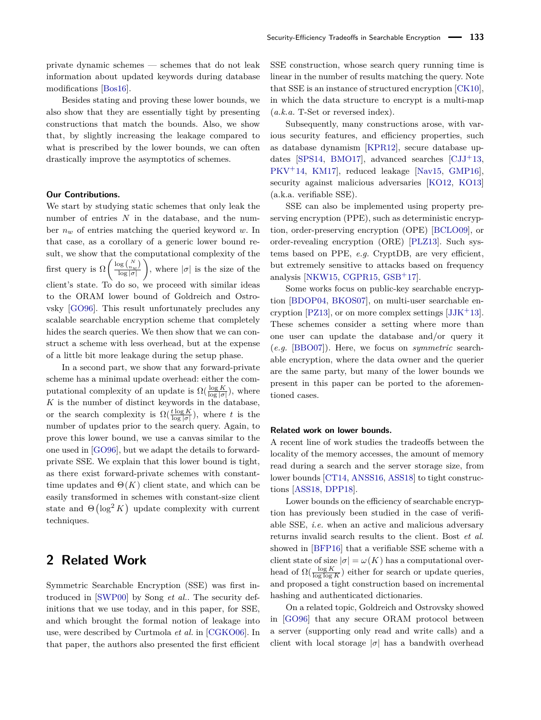private dynamic schemes — schemes that do not leak information about updated keywords during database modifications [\[Bos16\]](#page-15-3).

Besides stating and proving these lower bounds, we also show that they are essentially tight by presenting constructions that match the bounds. Also, we show that, by slightly increasing the leakage compared to what is prescribed by the lower bounds, we can often drastically improve the asymptotics of schemes.

#### **Our Contributions.**

We start by studying static schemes that only leak the number of entries *N* in the database, and the number *n<sup>w</sup>* of entries matching the queried keyword *w*. In that case, as a corollary of a generic lower bound result, we show that the computational complexity of the first query is  $\Omega\left(\frac{\log {N \choose n_w}}{\log |\sigma|}\right)$ log |*σ*| ), where  $|\sigma|$  is the size of the client's state. To do so, we proceed with similar ideas to the ORAM lower bound of Goldreich and Ostrovsky [\[GO96\]](#page-16-1). This result unfortunately precludes any scalable searchable encryption scheme that completely hides the search queries. We then show that we can construct a scheme with less overhead, but at the expense of a little bit more leakage during the setup phase.

In a second part, we show that any forward-private scheme has a minimal update overhead: either the computational complexity of an update is  $\Omega(\frac{\log K}{\log |\sigma|})$ , where  $K$  is the number of distinct keywords in the database, or the search complexity is  $\Omega(\frac{t \log K}{\log |\sigma|})$ , where *t* is the number of updates prior to the search query. Again, to prove this lower bound, we use a canvas similar to the one used in [\[GO96\]](#page-16-1), but we adapt the details to forwardprivate SSE. We explain that this lower bound is tight, as there exist forward-private schemes with constanttime updates and  $\Theta(K)$  client state, and which can be easily transformed in schemes with constant-size client state and  $\Theta(\log^2 K)$  update complexity with current techniques.

## **2 Related Work**

Symmetric Searchable Encryption (SSE) was first introduced in [\[SWP00\]](#page-16-12) by Song *et al.*. The security definitions that we use today, and in this paper, for SSE, and which brought the formal notion of leakage into use, were described by Curtmola *et al.* in [\[CGKO06\]](#page-15-1). In that paper, the authors also presented the first efficient SSE construction, whose search query running time is linear in the number of results matching the query. Note that SSE is an instance of structured encryption [\[CK10\]](#page-15-5), in which the data structure to encrypt is a multi-map (*a.k.a.* T-Set or reversed index).

Subsequently, many constructions arose, with various security features, and efficiency properties, such as database dynamism [\[KPR12\]](#page-16-7), secure database up-dates [\[SPS14,](#page-16-10) [BMO17\]](#page-15-4), advanced searches  $\text{[CJJ}^{+}13,$  $\text{[CJJ}^{+}13,$  $\text{[CJJ}^{+}13,$ [PKV](#page-16-9)+14, [KM17\]](#page-16-13), reduced leakage [\[Nav15,](#page-16-14) [GMP16\]](#page-16-15), security against malicious adversaries [\[KO12,](#page-16-6) [KO13\]](#page-16-16) (a.k.a. verifiable SSE).

SSE can also be implemented using property preserving encryption (PPE), such as deterministic encryption, order-preserving encryption (OPE) [\[BCLO09\]](#page-15-6), or order-revealing encryption (ORE) [\[PLZ13\]](#page-16-17). Such systems based on PPE, *e.g.* CryptDB, are very efficient, but extremely sensitive to attacks based on frequency analysis [\[NKW15,](#page-16-4) [CGPR15,](#page-15-0) [GSB](#page-16-5)+17].

Some works focus on public-key searchable encryption [\[BDOP04,](#page-15-7) [BKOS07\]](#page-15-8), on multi-user searchable en-cryption [\[PZ13\]](#page-16-18), or on more complex settings  $[JJK^+13]$  $[JJK^+13]$ . These schemes consider a setting where more than one user can update the database and/or query it (*e.g.* [\[BBO07\]](#page-15-9)). Here, we focus on *symmetric* searchable encryption, where the data owner and the querier are the same party, but many of the lower bounds we present in this paper can be ported to the aforementioned cases.

#### **Related work on lower bounds.**

A recent line of work studies the tradeoffs between the locality of the memory accesses, the amount of memory read during a search and the server storage size, from lower bounds [\[CT14,](#page-15-10) [ANSS16,](#page-15-11) [ASS18\]](#page-15-12) to tight constructions [\[ASS18,](#page-15-12) [DPP18\]](#page-15-13).

Lower bounds on the efficiency of searchable encryption has previously been studied in the case of verifiable SSE, *i.e.* when an active and malicious adversary returns invalid search results to the client. Bost *et al.* showed in [\[BFP16\]](#page-15-14) that a verifiable SSE scheme with a client state of size  $|\sigma| = \omega(K)$  has a computational overhead of  $\Omega(\frac{\log K}{\log \log K})$  either for search or update queries, and proposed a tight construction based on incremental hashing and authenticated dictionaries.

On a related topic, Goldreich and Ostrovsky showed in [\[GO96\]](#page-16-1) that any secure ORAM protocol between a server (supporting only read and write calls) and a client with local storage  $|\sigma|$  has a bandwith overhead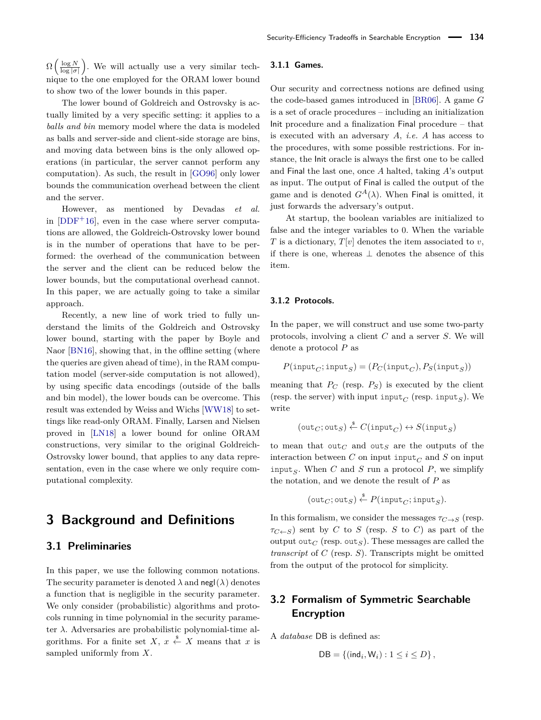$\Omega\left(\frac{\log N}{\log |\sigma|}\right)$ . We will actually use a very similar technique to the one employed for the ORAM lower bound to show two of the lower bounds in this paper.

The lower bound of Goldreich and Ostrovsky is actually limited by a very specific setting: it applies to a *balls and bin* memory model where the data is modeled as balls and server-side and client-side storage are bins, and moving data between bins is the only allowed operations (in particular, the server cannot perform any computation). As such, the result in [\[GO96\]](#page-16-1) only lower bounds the communication overhead between the client and the server.

However, as mentioned by Devadas *et al.* in  $[DDF<sup>+</sup>16]$  $[DDF<sup>+</sup>16]$ , even in the case where server computations are allowed, the Goldreich-Ostrovsky lower bound is in the number of operations that have to be performed: the overhead of the communication between the server and the client can be reduced below the lower bounds, but the computational overhead cannot. In this paper, we are actually going to take a similar approach.

Recently, a new line of work tried to fully understand the limits of the Goldreich and Ostrovsky lower bound, starting with the paper by Boyle and Naor [\[BN16\]](#page-15-16), showing that, in the offline setting (where the queries are given ahead of time), in the RAM computation model (server-side computation is not allowed), by using specific data encodings (outside of the balls and bin model), the lower bouds can be overcome. This result was extended by Weiss and Wichs [\[WW18\]](#page-16-20) to settings like read-only ORAM. Finally, Larsen and Nielsen proved in [\[LN18\]](#page-16-21) a lower bound for online ORAM constructions, very similar to the original Goldreich-Ostrovsky lower bound, that applies to any data representation, even in the case where we only require computational complexity.

## **3 Background and Definitions**

### <span id="page-2-0"></span>**3.1 Preliminaries**

In this paper, we use the following common notations. The security parameter is denoted  $\lambda$  and negl( $\lambda$ ) denotes a function that is negligible in the security parameter. We only consider (probabilistic) algorithms and protocols running in time polynomial in the security parameter *λ*. Adversaries are probabilistic polynomial-time algorithms. For a finite set *X*,  $x \stackrel{\$}{\leftarrow} X$  means that *x* is sampled uniformly from *X*.

### **3.1.1 Games.**

Our security and correctness notions are defined using the code-based games introduced in [\[BR06\]](#page-15-17). A game *G* is a set of oracle procedures – including an initialization Init procedure and a finalization Final procedure – that is executed with an adversary *A*, *i.e. A* has access to the procedures, with some possible restrictions. For instance, the Init oracle is always the first one to be called and Final the last one, once *A* halted, taking *A*'s output as input. The output of Final is called the output of the game and is denoted  $G^A(\lambda)$ . When Final is omitted, it just forwards the adversary's output.

At startup, the boolean variables are initialized to false and the integer variables to 0. When the variable *T* is a dictionary,  $T[v]$  denotes the item associated to *v*, if there is one, whereas ⊥ denotes the absence of this item.

#### **3.1.2 Protocols.**

In the paper, we will construct and use some two-party protocols, involving a client *C* and a server *S*. We will denote a protocol *P* as

$$
P(\mathtt{input}_C; \mathtt{input}_S) = (P_C(\mathtt{input}_C), P_S(\mathtt{input}_S))
$$

meaning that  $P_C$  (resp.  $P_S$ ) is executed by the client (resp. the server) with input input<sub>*C*</sub> (resp. input<sub>*S*</sub>). We write

$$
(\texttt{out}_C; \texttt{out}_S) \stackrel{\$}{\leftarrow} C(\texttt{input}_C) \leftrightarrow S(\texttt{input}_S)
$$

to mean that out<sub>*C*</sub> and out<sub>*S*</sub> are the outputs of the interaction between C on input input<sub> $C$ </sub> and S on input input<sub>*S*</sub>. When *C* and *S* run a protocol *P*, we simplify the notation, and we denote the result of *P* as

$$
(\text{out}_C; \text{out}_S) \overset{\text{s}}{\leftarrow} P(\text{input}_C; \text{input}_S).
$$

In this formalism, we consider the messages  $\tau_{C\rightarrow S}$  (resp.  $\tau_{C\leftarrow S}$ ) sent by *C* to *S* (resp. *S* to *C*) as part of the output out<sub>*C*</sub> (resp. out<sub>*S*</sub>). These messages are called the *transcript* of *C* (resp. *S*). Transcripts might be omitted from the output of the protocol for simplicity.

### **3.2 Formalism of Symmetric Searchable Encryption**

A *database* DB is defined as:

 $DB = \{ (ind_i, W_i) : 1 \le i \le D \},\$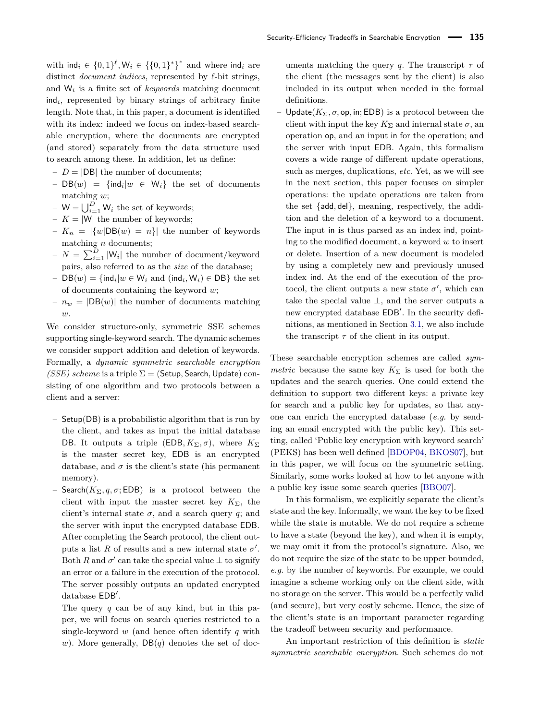with  $\text{ind}_i \in \{0,1\}^{\ell}, \mathsf{W}_i \in \{\{0,1\}^*\}^*$  and where  $\text{ind}_i$  are distinct *document indices*, represented by  $\ell$ -bit strings, and W*<sup>i</sup>* is a finite set of *keywords* matching document ind*<sup>i</sup>* , represented by binary strings of arbitrary finite length. Note that, in this paper, a document is identified with its index: indeed we focus on index-based searchable encryption, where the documents are encrypted (and stored) separately from the data structure used to search among these. In addition, let us define:

- $-D = |DB|$  the number of documents:
- $-$  DB(*w*) = {ind<sub>*i*</sub>|*w* ∈ W<sub>*i*</sub>} the set of documents matching *w*;
- $-W = \bigcup_{i=1}^{D} W_i$  the set of keywords;
- $K = |W|$  the number of keywords;
- $-K_n = |\{w|DB(w) = n\}|$  the number of keywords matching *n* documents;
- $-N = \sum_{i=1}^{D} |W_i|$  the number of document/keyword pairs, also referred to as the *size* of the database;
- $−$  DB $(w)$  = {ind $_i|w \in W_i$  and (ind $_i, W_i)$  ∈ DB} the set of documents containing the keyword *w*;
- $n_w = |DB(w)|$  the number of documents matching *w*.

We consider structure-only, symmetric SSE schemes supporting single-keyword search. The dynamic schemes we consider support addition and deletion of keywords. Formally, a *dynamic symmetric searchable encryption (SSE) scheme* is a triple  $\Sigma$  = (Setup, Search, Update) consisting of one algorithm and two protocols between a client and a server:

- Setup(DB) is a probabilistic algorithm that is run by the client, and takes as input the initial database DB. It outputs a triple (EDB,  $K_{\Sigma}$ ,  $\sigma$ ), where  $K_{\Sigma}$ is the master secret key, EDB is an encrypted database, and  $\sigma$  is the client's state (his permanent memory).
- Search( $K_{\Sigma}$ , q,  $\sigma$ ; EDB) is a protocol between the client with input the master secret key  $K_{\Sigma}$ , the client's internal state  $\sigma$ , and a search query *q*; and the server with input the encrypted database EDB. After completing the Search protocol, the client outputs a list *R* of results and a new internal state  $\sigma'$ . Both *R* and  $\sigma'$  can take the special value  $\perp$  to signify an error or a failure in the execution of the protocol. The server possibly outputs an updated encrypted database  $EDB'$ .

The query *q* can be of any kind, but in this paper, we will focus on search queries restricted to a single-keyword *w* (and hence often identify *q* with *w*). More generally,  $DB(q)$  denotes the set of doc-

uments matching the query *q*. The transcript  $\tau$  of the client (the messages sent by the client) is also included in its output when needed in the formal definitions.

– Update( $K_{\Sigma}$ , σ, op, in; EDB) is a protocol between the client with input the key  $K_{\Sigma}$  and internal state  $\sigma$ , and operation op, and an input in for the operation; and the server with input EDB. Again, this formalism covers a wide range of different update operations, such as merges, duplications, *etc*. Yet, as we will see in the next section, this paper focuses on simpler operations: the update operations are taken from the set {add*,* del}, meaning, respectively, the addition and the deletion of a keyword to a document. The input in is thus parsed as an index ind, pointing to the modified document, a keyword *w* to insert or delete. Insertion of a new document is modeled by using a completely new and previously unused index ind. At the end of the execution of the protocol, the client outputs a new state  $\sigma'$ , which can take the special value  $\perp$ , and the server outputs a new encrypted database EDB'. In the security definitions, as mentioned in Section [3.1,](#page-2-0) we also include the transcript  $\tau$  of the client in its output.

These searchable encryption schemes are called *symmetric* because the same key  $K_{\Sigma}$  is used for both the updates and the search queries. One could extend the definition to support two different keys: a private key for search and a public key for updates, so that anyone can enrich the encrypted database (*e.g.* by sending an email encrypted with the public key). This setting, called 'Public key encryption with keyword search' (PEKS) has been well defined [\[BDOP04,](#page-15-7) [BKOS07\]](#page-15-8), but in this paper, we will focus on the symmetric setting. Similarly, some works looked at how to let anyone with a public key issue some search queries [\[BBO07\]](#page-15-9).

In this formalism, we explicitly separate the client's state and the key. Informally, we want the key to be fixed while the state is mutable. We do not require a scheme to have a state (beyond the key), and when it is empty, we may omit it from the protocol's signature. Also, we do not require the size of the state to be upper bounded, *e.g.* by the number of keywords. For example, we could imagine a scheme working only on the client side, with no storage on the server. This would be a perfectly valid (and secure), but very costly scheme. Hence, the size of the client's state is an important parameter regarding the tradeoff between security and performance.

An important restriction of this definition is *static symmetric searchable encryption*. Such schemes do not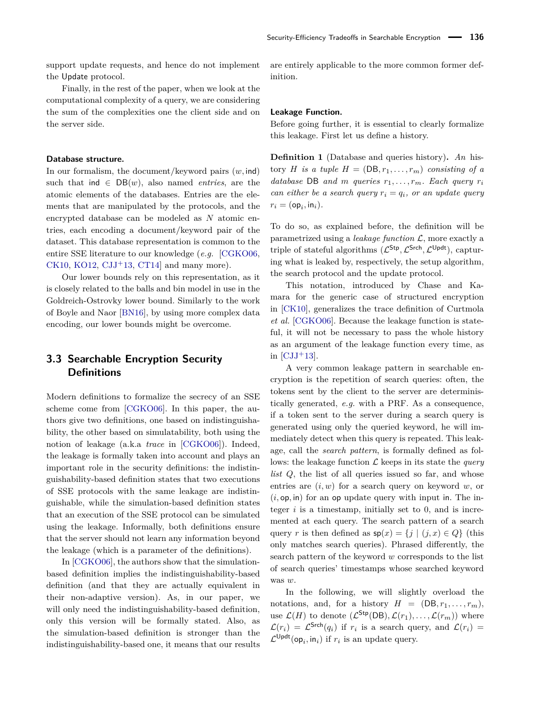support update requests, and hence do not implement the Update protocol.

Finally, in the rest of the paper, when we look at the computational complexity of a query, we are considering the sum of the complexities one the client side and on the server side.

### <span id="page-4-0"></span>**Database structure.**

In our formalism, the document/keyword pairs (*w,* ind) such that ind  $\in DB(w)$ , also named *entries*, are the atomic elements of the databases. Entries are the elements that are manipulated by the protocols, and the encrypted database can be modeled as *N* atomic entries, each encoding a document/keyword pair of the dataset. This database representation is common to the entire SSE literature to our knowledge (*e.g.* [\[CGKO06,](#page-15-1) [CK10,](#page-15-5) [KO12,](#page-16-6) [CJJ](#page-15-2)<sup>+</sup>13, CT14 and many more).

Our lower bounds rely on this representation, as it is closely related to the balls and bin model in use in the Goldreich-Ostrovky lower bound. Similarly to the work of Boyle and Naor [\[BN16\]](#page-15-16), by using more complex data encoding, our lower bounds might be overcome.

### **3.3 Searchable Encryption Security Definitions**

Modern definitions to formalize the secrecy of an SSE scheme come from [\[CGKO06\]](#page-15-1). In this paper, the authors give two definitions, one based on indistinguishability, the other based on simulatability, both using the notion of leakage (a.k.a *trace* in [\[CGKO06\]](#page-15-1)). Indeed, the leakage is formally taken into account and plays an important role in the security definitions: the indistinguishability-based definition states that two executions of SSE protocols with the same leakage are indistinguishable, while the simulation-based definition states that an execution of the SSE protocol can be simulated using the leakage. Informally, both definitions ensure that the server should not learn any information beyond the leakage (which is a parameter of the definitions).

In [\[CGKO06\]](#page-15-1), the authors show that the simulationbased definition implies the indistinguishability-based definition (and that they are actually equivalent in their non-adaptive version). As, in our paper, we will only need the indistinguishability-based definition, only this version will be formally stated. Also, as the simulation-based definition is stronger than the indistinguishability-based one, it means that our results are entirely applicable to the more common former definition.

#### <span id="page-4-1"></span>**Leakage Function.**

Before going further, it is essential to clearly formalize this leakage. First let us define a history.

**Definition 1** (Database and queries history)**.** *An* history *H* is a tuple  $H = (DB, r_1, \ldots, r_m)$  consisting of a *database* DB *and m queries*  $r_1, \ldots, r_m$ *. Each query*  $r_i$ *can either be a search query*  $r_i = q_i$ *, or an update query*  $r_i = (\mathsf{op}_i, \mathsf{in}_i)$ .

To do so, as explained before, the definition will be parametrized using a *leakage function* L, more exactly a triple of stateful algorithms  $(\mathcal{L}^{\mathsf{Stp}}, \mathcal{L}^{\mathsf{Stch}}, \mathcal{L}^{\mathsf{Updt}})$ , capturing what is leaked by, respectively, the setup algorithm, the search protocol and the update protocol.

This notation, introduced by Chase and Kamara for the generic case of structured encryption in [\[CK10\]](#page-15-5), generalizes the trace definition of Curtmola *et al.* [\[CGKO06\]](#page-15-1). Because the leakage function is stateful, it will not be necessary to pass the whole history as an argument of the leakage function every time, as in  $\left[{\rm CJJ}^{+}13\right]$ .

A very common leakage pattern in searchable encryption is the repetition of search queries: often, the tokens sent by the client to the server are deterministically generated, *e.g.* with a PRF. As a consequence, if a token sent to the server during a search query is generated using only the queried keyword, he will immediately detect when this query is repeated. This leakage, call the *search pattern*, is formally defined as follows: the leakage function  $\mathcal L$  keeps in its state the *query list Q*, the list of all queries issued so far, and whose entries are (*i, w*) for a search query on keyword *w*, or (*i,* op*,* in) for an op update query with input in. The integer  $i$  is a timestamp, initially set to  $0$ , and is incremented at each query. The search pattern of a search query *r* is then defined as  $sp(x) = \{j \mid (j, x) \in Q\}$  (this only matches search queries). Phrased differently, the search pattern of the keyword *w* corresponds to the list of search queries' timestamps whose searched keyword was *w*.

In the following, we will slightly overload the notations, and, for a history  $H = (DB, r_1, \ldots, r_m)$ , use  $\mathcal{L}(H)$  to denote  $(\mathcal{L}^{\mathsf{Stp}}(DB), \mathcal{L}(r_1), \ldots, \mathcal{L}(r_m))$  where  $\mathcal{L}(r_i) = \mathcal{L}^{\mathsf{Srch}}(q_i)$  if  $r_i$  is a search query, and  $\mathcal{L}(r_i) =$  $\mathcal{L}^{\mathsf{Updt}}(\mathsf{op}_i, \mathsf{in}_i)$  if  $r_i$  is an update query.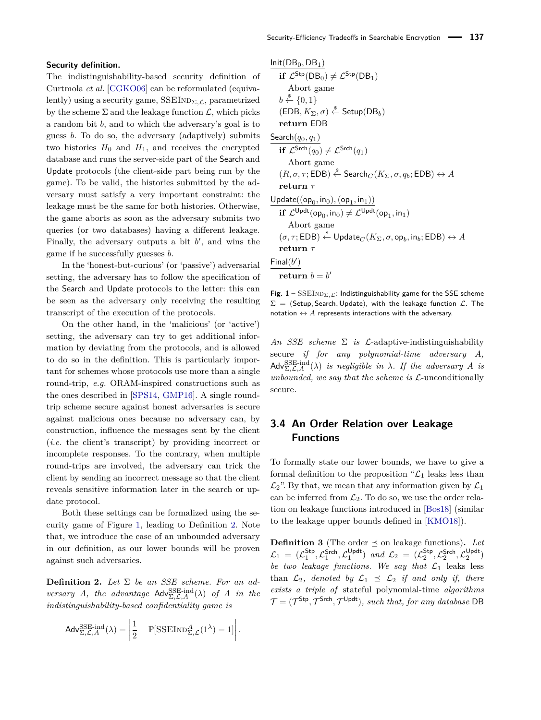#### **Security definition.**

The indistinguishability-based security definition of Curtmola *et al.* [\[CGKO06\]](#page-15-1) can be reformulated (equivalently) using a security game, SSEIND<sub>Σ, ε</sub>, parametrized by the scheme  $\Sigma$  and the leakage function  $\mathcal{L}$ , which picks a random bit *b*, and to which the adversary's goal is to guess *b*. To do so, the adversary (adaptively) submits two histories  $H_0$  and  $H_1$ , and receives the encrypted database and runs the server-side part of the Search and Update protocols (the client-side part being run by the game). To be valid, the histories submitted by the adversary must satisfy a very important constraint: the leakage must be the same for both histories. Otherwise, the game aborts as soon as the adversary submits two queries (or two databases) having a different leakage. Finally, the adversary outputs a bit  $b'$ , and wins the game if he successfully guesses *b*.

In the 'honest-but-curious' (or 'passive') adversarial setting, the adversary has to follow the specification of the Search and Update protocols to the letter: this can be seen as the adversary only receiving the resulting transcript of the execution of the protocols.

On the other hand, in the 'malicious' (or 'active') setting, the adversary can try to get additional information by deviating from the protocols, and is allowed to do so in the definition. This is particularly important for schemes whose protocols use more than a single round-trip, *e.g.* ORAM-inspired constructions such as the ones described in [\[SPS14,](#page-16-10) [GMP16\]](#page-16-15). A single roundtrip scheme secure against honest adversaries is secure against malicious ones because no adversary can, by construction, influence the messages sent by the client (*i.e.* the client's transcript) by providing incorrect or incomplete responses. To the contrary, when multiple round-trips are involved, the adversary can trick the client by sending an incorrect message so that the client reveals sensitive information later in the search or update protocol.

Both these settings can be formalized using the security game of Figure [1,](#page-5-0) leading to Definition [2.](#page-5-1) Note that, we introduce the case of an unbounded adversary in our definition, as our lower bounds will be proven against such adversaries.

<span id="page-5-1"></span>**Definition 2.** *Let* Σ *be an SSE scheme. For an adversary A, the advantage*  $\mathsf{Adv}_{\Sigma,\mathcal{L},A}^{\text{SSE-ind}}(\lambda)$  *of A in the indistinguishability-based confidentiality game is*

$$
\mathsf{Adv}_{\Sigma,\mathcal{L},A}^{\mathrm{SSE-ind}}(\lambda) = \left| \frac{1}{2} - \mathbb{P}[\mathrm{SSEIND}_{\Sigma,\mathcal{L}}^A(1^\lambda) = 1] \right|.
$$

<span id="page-5-0"></span> $Init(DB<sub>0</sub>, DB<sub>1</sub>)$ **if**  $\mathcal{L}^{\text{Stp}}(\text{DB}_0) \neq \mathcal{L}^{\text{Stp}}(\text{DB}_1)$ Abort game  $b \stackrel{\$}{\leftarrow} \{0,1\}$  $(EDB, K_{\Sigma}, \sigma) \overset{\$}{\leftarrow}$  Setup $(DB_b)$ **return** EDB Search(*q*0*, q*1) **if**  $\mathcal{L}^{\mathsf{Srch}}(q_0) \neq \mathcal{L}^{\mathsf{Srch}}(q_1)$ Abort game  $(R, \sigma, \tau; \mathsf{EDB}) \overset{\hspace{0.1em}\mathsf{\scriptscriptstyle\$}}{\leftarrow} \mathsf{Search}_C(K_\Sigma, \sigma, q_b; \mathsf{EDB}) \leftrightarrow A$ **return** *τ*  $U$ pdate $((\mathsf{op}_0, \mathsf{in}_0), (\mathsf{op}_1, \mathsf{in}_1))$ **if**  $\mathcal{L}^{\mathsf{Updt}}(\mathsf{op}_0, \mathsf{in}_0) \neq \mathcal{L}^{\mathsf{Updt}}(\mathsf{op}_1, \mathsf{in}_1)$ Abort game  $(\sigma, \tau; \mathsf{EDB}) \overset{\hspace{0.1em}\mathsf{\scriptscriptstyle\$}}{\leftarrow} \mathsf{Update}_C(K_\Sigma, \sigma, \mathsf{op}_b, \mathsf{in}_b; \mathsf{EDB}) \leftrightarrow A$ **return** *τ*  $Final(b')$ return  $b = b'$ 

**Fig. 1** – SSEIND<sub> $\Sigma$ , C</sub>: Indistinguishability game for the SSE scheme Σ = (Setup*,* Search*,* Update), with the leakage function L. The notation  $\leftrightarrow$  *A* represents interactions with the adversary.

*An SSE scheme* Σ *is* L-adaptive-indistinguishability secure *if for any polynomial-time adversary A,*  $\mathsf{Adv}_{\Sigma,\mathcal{L},A}^{\mathrm{SSE-ind}}(\lambda)$  *is negligible in*  $\lambda$ *. If the adversary A is unbounded, we say that the scheme is* L-unconditionally secure*.*

### **3.4 An Order Relation over Leakage Functions**

To formally state our lower bounds, we have to give a formal definition to the proposition " $\mathcal{L}_1$  leaks less than  $\mathcal{L}_2$ ". By that, we mean that any information given by  $\mathcal{L}_1$ can be inferred from  $\mathcal{L}_2$ . To do so, we use the order relation on leakage functions introduced in [\[Bos18\]](#page-15-18) (similar to the leakage upper bounds defined in [\[KMO18\]](#page-16-22)).

<span id="page-5-2"></span>**Definition 3** (The order  $\prec$  on leakage functions). Let  $\mathcal{L}_1$  =  $(\mathcal{L}_1^{\mathsf{Stp}}, \mathcal{L}_1^{\mathsf{Srch}}, \mathcal{L}_1^{\mathsf{Updt}})$  and  $\mathcal{L}_2$  =  $(\mathcal{L}_2^{\mathsf{Stp}}, \mathcal{L}_2^{\mathsf{Stch}}, \mathcal{L}_2^{\mathsf{Updt}})$ *be two leakage functions. We say that*  $\mathcal{L}_1$  leaks less than  $\mathcal{L}_2$ *, denoted by*  $\mathcal{L}_1 \preceq \mathcal{L}_2$  *if and only if, there exists a triple of* stateful polynomial-time *algorithms*  $\mathcal{T} = (\mathcal{T}^{\mathsf{Stp}}, \mathcal{T}^{\mathsf{Srch}}, \mathcal{T}^{\mathsf{Updt}})$ , such that, for any database DB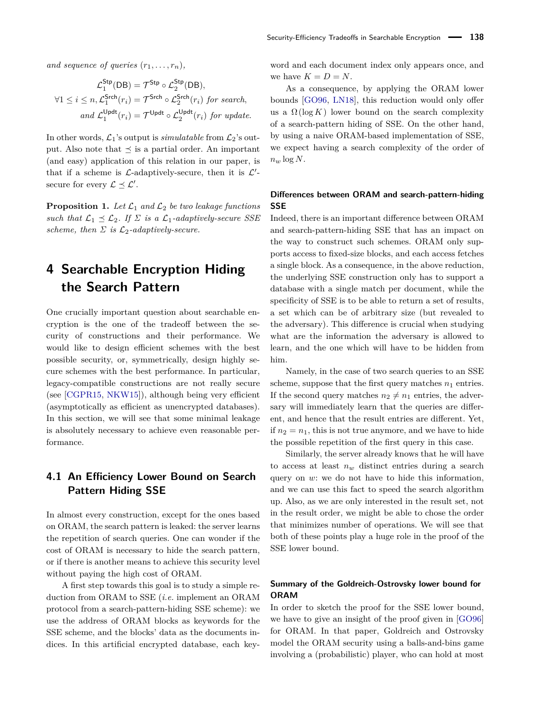*and sequence of queries*  $(r_1, \ldots, r_n)$ *,* 

$$
\mathcal{L}_1^{\mathsf{Stp}}(\mathsf{DB}) = \mathcal{T}^{\mathsf{Stp}} \circ \mathcal{L}_2^{\mathsf{Stp}}(\mathsf{DB}),
$$
  

$$
\forall 1 \leq i \leq n, \mathcal{L}_1^{\mathsf{Srch}}(r_i) = \mathcal{T}^{\mathsf{Srch}} \circ \mathcal{L}_2^{\mathsf{Stch}}(r_i) \text{ for search},
$$
  
and 
$$
\mathcal{L}_1^{\mathsf{Updt}}(r_i) = \mathcal{T}^{\mathsf{Updt}} \circ \mathcal{L}_2^{\mathsf{Updt}}(r_i) \text{ for update.}
$$

In other words,  $\mathcal{L}_1$ 's output is *simulatable* from  $\mathcal{L}_2$ 's output. Also note that  $\preceq$  is a partial order. An important (and easy) application of this relation in our paper, is that if a scheme is  $\mathcal{L}\text{-adaptively-secure, then it is }\mathcal{L}'\text{-}$ secure for every  $\mathcal{L} \preceq \mathcal{L}'$ .

**Proposition 1.** Let  $\mathcal{L}_1$  and  $\mathcal{L}_2$  be two leakage functions *such that*  $\mathcal{L}_1 \preceq \mathcal{L}_2$ *. If*  $\Sigma$  *is a*  $\mathcal{L}_1$ *-adaptively-secure SSE scheme, then*  $\Sigma$  *is*  $\mathcal{L}_2$ *-adaptively-secure.* 

# <span id="page-6-0"></span>**4 Searchable Encryption Hiding the Search Pattern**

One crucially important question about searchable encryption is the one of the tradeoff between the security of constructions and their performance. We would like to design efficient schemes with the best possible security, or, symmetrically, design highly secure schemes with the best performance. In particular, legacy-compatible constructions are not really secure (see [\[CGPR15,](#page-15-0) [NKW15\]](#page-16-4)), although being very efficient (asymptotically as efficient as unencrypted databases). In this section, we will see that some minimal leakage is absolutely necessary to achieve even reasonable performance.

### **4.1 An Efficiency Lower Bound on Search Pattern Hiding SSE**

In almost every construction, except for the ones based on ORAM, the search pattern is leaked: the server learns the repetition of search queries. One can wonder if the cost of ORAM is necessary to hide the search pattern, or if there is another means to achieve this security level without paying the high cost of ORAM.

A first step towards this goal is to study a simple reduction from ORAM to SSE (*i.e.* implement an ORAM protocol from a search-pattern-hiding SSE scheme): we use the address of ORAM blocks as keywords for the SSE scheme, and the blocks' data as the documents indices. In this artificial encrypted database, each keyword and each document index only appears once, and we have  $K = D = N$ .

As a consequence, by applying the ORAM lower bounds [\[GO96,](#page-16-1) [LN18\]](#page-16-21), this reduction would only offer us a  $\Omega(\log K)$  lower bound on the search complexity of a search-pattern hiding of SSE. On the other hand, by using a naive ORAM-based implementation of SSE, we expect having a search complexity of the order of  $n_w \log N$ .

### **Differences between ORAM and search-pattern-hiding SSE**

Indeed, there is an important difference between ORAM and search-pattern-hiding SSE that has an impact on the way to construct such schemes. ORAM only supports access to fixed-size blocks, and each access fetches a single block. As a consequence, in the above reduction, the underlying SSE construction only has to support a database with a single match per document, while the specificity of SSE is to be able to return a set of results, a set which can be of arbitrary size (but revealed to the adversary). This difference is crucial when studying what are the information the adversary is allowed to learn, and the one which will have to be hidden from him.

Namely, in the case of two search queries to an SSE scheme, suppose that the first query matches  $n_1$  entries. If the second query matches  $n_2 \neq n_1$  entries, the adversary will immediately learn that the queries are different, and hence that the result entries are different. Yet, if  $n_2 = n_1$ , this is not true anymore, and we have to hide the possible repetition of the first query in this case.

Similarly, the server already knows that he will have to access at least  $n_w$  distinct entries during a search query on *w*: we do not have to hide this information, and we can use this fact to speed the search algorithm up. Also, as we are only interested in the result set, not in the result order, we might be able to chose the order that minimizes number of operations. We will see that both of these points play a huge role in the proof of the SSE lower bound.

### **Summary of the Goldreich-Ostrovsky lower bound for ORAM**

In order to sketch the proof for the SSE lower bound, we have to give an insight of the proof given in [\[GO96\]](#page-16-1) for ORAM. In that paper, Goldreich and Ostrovsky model the ORAM security using a balls-and-bins game involving a (probabilistic) player, who can hold at most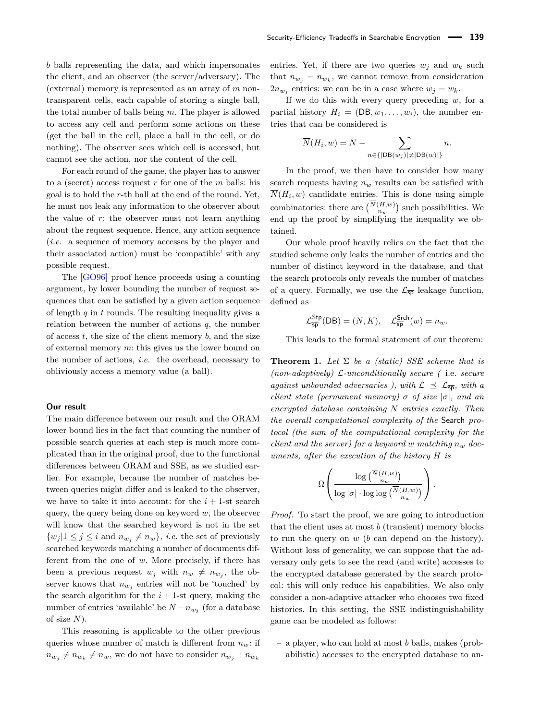*b* balls representing the data, and which impersonates the client, and an observer (the server/adversary). The (external) memory is represented as an array of *m* nontransparent cells, each capable of storing a single ball, the total number of balls being *m*. The player is allowed to access any cell and perform some actions on these (get the ball in the cell, place a ball in the cell, or do nothing). The observer sees which cell is accessed, but cannot see the action, nor the content of the cell.

For each round of the game, the player has to answer to a (secret) access request *r* for one of the *m* balls: his goal is to hold the *r*-th ball at the end of the round. Yet, he must not leak any information to the observer about the value of *r*: the observer must not learn anything about the request sequence. Hence, any action sequence (*i.e.* a sequence of memory accesses by the player and their associated action) must be 'compatible' with any possible request.

The [\[GO96\]](#page-16-1) proof hence proceeds using a counting argument, by lower bounding the number of request sequences that can be satisfied by a given action sequence of length *q* in *t* rounds. The resulting inequality gives a relation between the number of actions  $q$ , the number of access *t*, the size of the client memory *b*, and the size of external memory *m*: this gives us the lower bound on the number of actions, *i.e.* the overhead, necessary to obliviously access a memory value (a ball).

#### **Our result**

The main difference between our result and the ORAM lower bound lies in the fact that counting the number of possible search queries at each step is much more complicated than in the original proof, due to the functional differences between ORAM and SSE, as we studied earlier. For example, because the number of matches between queries might differ and is leaked to the observer, we have to take it into account: for the  $i + 1$ -st search query, the query being done on keyword *w*, the observer will know that the searched keyword is not in the set  $\{w_j | 1 \leq j \leq i \text{ and } n_{w_j} \neq n_w\}, i.e.$  the set of previously searched keywords matching a number of documents different from the one of *w*. More precisely, if there has been a previous request  $w_j$  with  $n_w \neq n_{w_j}$ , the observer knows that  $n_{w_j}$  entries will not be 'touched' by the search algorithm for the  $i + 1$ -st query, making the number of entries 'available' be  $N - n_{w_j}$  (for a database of size *N*).

This reasoning is applicable to the other previous queries whose number of match is different from *nw*: if  $n_{w_j} \neq n_{w_k} \neq n_w$ , we do not have to consider  $n_{w_j} + n_{w_k}$ 

entries. Yet, if there are two queries  $w_j$  and  $w_k$  such that  $n_{w_j} = n_{w_k}$ , we cannot remove from consideration  $2n_{w_j}$  entries: we can be in a case where  $w_j = w_k$ .

If we do this with every query preceding *w*, for a partial history  $H_i = (DB, w_1, \ldots, w_i)$ , the number entries that can be considered is

$$
\overline{N}(H_i, w) = N - \sum_{n \in \{|\text{DB}(w_j)| \neq |\text{DB}(w)|\}} n.
$$

In the proof, we then have to consider how many search requests having  $n_w$  results can be satisfied with  $N(H_i, w)$  candidate entries. This is done using simple combinatorics: there are  $\binom{N(H,w)}{n_w}$  such possibilities. We end up the proof by simplifying the inequality we obtained.

Our whole proof heavily relies on the fact that the studied scheme only leaks the number of entries and the number of distinct keyword in the database, and that the search protocols only reveals the number of matches of a query. Formally, we use the  $\mathcal{L}_{\overline{sp}}$  leakage function, defined as

$$
\mathcal{L}_{\overline{\textsf{sp}}}^{\textsf{Stp}}(\textsf{DB}) = (N, K), \quad \mathcal{L}_{\overline{\textsf{sp}}}^{\textsf{Stch}}(w) = n_w.
$$

This leads to the formal statement of our theorem:

<span id="page-7-0"></span>**Theorem 1.** *Let* Σ *be a (static) SSE scheme that is (non-adaptively)* L*-unconditionally secure (* i.e. *secure against unbounded adversaries ), with*  $\mathcal{L} \preceq \mathcal{L}_{\overline{\text{SD}}}$ *, with a client state (permanent memory)*  $\sigma$  *of size*  $|\sigma|$ *, and an encrypted database containing N entries exactly. Then the overall computational complexity of the* Search *protocol (the sum of the computational complexity for the client and the server) for a keyword w matching*  $n_w$  *documents, after the execution of the history H is*

$$
\Omega\left(\frac{\log\binom{\overline{N}(H,w)}{n_w}}{\log|\sigma|\cdot\log\log\binom{\overline{N}(H,w)}{n_w}}\right).
$$

*Proof.* To start the proof, we are going to introduction that the client uses at most *b* (transient) memory blocks to run the query on *w* (*b* can depend on the history). Without loss of generality, we can suppose that the adversary only gets to see the read (and write) accesses to the encrypted database generated by the search protocol: this will only reduce his capabilities. We also only consider a non-adaptive attacker who chooses two fixed histories. In this setting, the SSE indistinguishability game can be modeled as follows:

– a player, who can hold at most *b* balls, makes (probabilistic) accesses to the encrypted database to an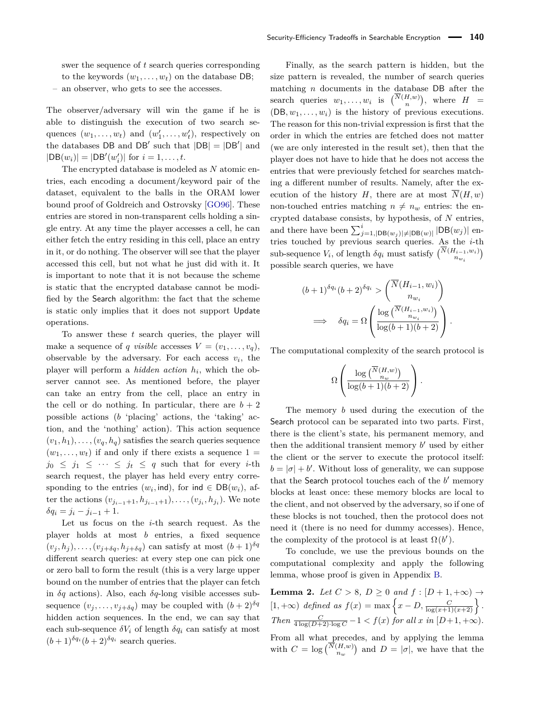swer the sequence of *t* search queries corresponding to the keywords  $(w_1, \ldots, w_t)$  on the database DB;

– an observer, who gets to see the accesses.

The observer/adversary will win the game if he is able to distinguish the execution of two search sequences  $(w_1, \ldots, w_t)$  and  $(w'_1, \ldots, w'_t)$ , respectively on the databases DB and DB' such that  $|DB| = |DB'|$  and  $|DB(w_i)| = |DB'(w'_i)|$  for  $i = 1, ..., t$ .

The encrypted database is modeled as *N* atomic entries, each encoding a document/keyword pair of the dataset, equivalent to the balls in the ORAM lower bound proof of Goldreich and Ostrovsky [\[GO96\]](#page-16-1). These entries are stored in non-transparent cells holding a single entry. At any time the player accesses a cell, he can either fetch the entry residing in this cell, place an entry in it, or do nothing. The observer will see that the player accessed this cell, but not what he just did with it. It is important to note that it is not because the scheme is static that the encrypted database cannot be modified by the Search algorithm: the fact that the scheme is static only implies that it does not support Update operations.

To answer these *t* search queries, the player will make a sequence of *q visible* accesses  $V = (v_1, \ldots, v_q)$ , observable by the adversary. For each access  $v_i$ , the player will perform a *hidden action h<sup>i</sup>* , which the observer cannot see. As mentioned before, the player can take an entry from the cell, place an entry in the cell or do nothing. In particular, there are  $b + 2$ possible actions (*b* 'placing' actions, the 'taking' action, and the 'nothing' action). This action sequence  $(v_1, h_1), \ldots, (v_q, h_q)$  satisfies the search queries sequence  $(w_1, \ldots, w_t)$  if and only if there exists a sequence  $1 =$  $j_0 \leq j_1 \leq \cdots \leq j_t \leq q$  such that for every *i*-th search request, the player has held every entry corresponding to the entries  $(w_i, \text{ind})$ , for  $\text{ind} \in \text{DB}(w_i)$ , after the actions  $(v_{j_{i-1}+1}, h_{j_{i-1}+1}), \ldots, (v_{j_i}, h_{j_i})$ . We note  $\delta q_i = j_i - j_{i-1} + 1.$ 

Let us focus on the *i*-th search request. As the player holds at most *b* entries, a fixed sequence  $(v_j, h_j), \ldots, (v_{j+\delta q}, h_{j+\delta q})$  can satisfy at most  $(b+1)^{\delta q}$ different search queries: at every step one can pick one or zero ball to form the result (this is a very large upper bound on the number of entries that the player can fetch in *δq* actions). Also, each *δq*-long visible accesses subsequence  $(v_j, \ldots, v_{j+\delta q})$  may be coupled with  $(b+2)^{\delta q}$ hidden action sequences. In the end, we can say that each sub-sequence  $\delta V_i$  of length  $\delta q_i$  can satisfy at most  $(b+1)^{\delta q_i} (b+2)^{\delta q_i}$  search queries.

Finally, as the search pattern is hidden, but the size pattern is revealed, the number of search queries matching *n* documents in the database DB after the search queries  $w_1, \ldots, w_i$  is  $\binom{N(H,w)}{n}$ , where  $H =$  $(DB, w_1, \ldots, w_i)$  is the history of previous executions. The reason for this non-trivial expression is first that the order in which the entries are fetched does not matter (we are only interested in the result set), then that the player does not have to hide that he does not access the entries that were previously fetched for searches matching a different number of results. Namely, after the execution of the history *H*, there are at most  $\overline{N}(H, w)$ non-touched entries matching  $n \neq n_w$  entries: the encrypted database consists, by hypothesis, of *N* entries, and there have been  $\sum_{j=1,|\text{DB}(w_j)|\neq|\text{DB}(w)|}^i |\text{DB}(w_j)|$  entries touched by previous search queries. As the *i*-th sub-sequence  $V_i$ , of length  $\delta q_i$  must satisfy  $\binom{N(H_{i-1}, w_i)}{n_{w_i}}$ possible search queries, we have

$$
(b+1)^{\delta q_i} (b+2)^{\delta q_i} > \begin{pmatrix} \overline{N}(H_{i-1}, w_i) \\ n_{w_i} \end{pmatrix}
$$

$$
\implies \delta q_i = \Omega \begin{pmatrix} \log \begin{pmatrix} \overline{N}(H_{i-1}, w_i) \\ n_{w_i} \end{pmatrix} \\ \overline{\log (b+1)(b+2)} \end{pmatrix}.
$$

The computational complexity of the search protocol is

$$
\Omega\left(\frac{\log\binom{\overline{N}(H,w)}{n_w}}{\log(b+1)(b+2)}\right).
$$

The memory *b* used during the execution of the Search protocol can be separated into two parts. First, there is the client's state, his permanent memory, and then the additional transient memory  $b'$  used by either the client or the server to execute the protocol itself:  $b = |\sigma| + b'$ . Without loss of generality, we can suppose that the Search protocol touches each of the  $b'$  memory blocks at least once: these memory blocks are local to the client, and not observed by the adversary, so if one of these blocks is not touched, then the protocol does not need it (there is no need for dummy accesses). Hence, the complexity of the protocol is at least  $\Omega(b')$ .

To conclude, we use the previous bounds on the computational complexity and apply the following lemma, whose proof is given in Appendix [B.](#page-17-0)

<span id="page-8-0"></span>**Lemma 2.** *Let*  $C > 8$ *,*  $D \ge 0$  *and*  $f : [D + 1, +\infty) \rightarrow$  $[1, +\infty)$  *defined as*  $f(x) = \max\left\{x - D, \frac{C}{\log(x+1)(x+2)}\right\}.$ *Then*  $\frac{C}{4 \log(D+2) \cdot \log C} - 1 < f(x)$  *for all x in*  $[D+1, +\infty)$ *.* From all what precedes, and by applying the lemma with  $C = \log {N(H,w) \choose n_w}$  and  $D = |\sigma|$ , we have that the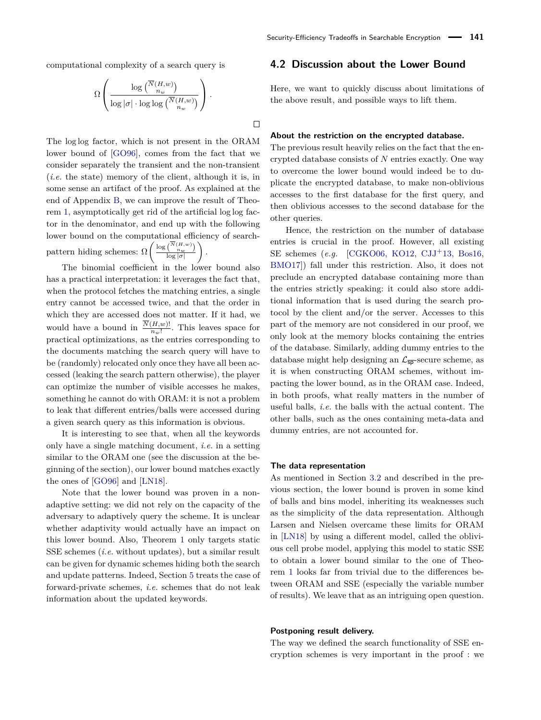computational complexity of a search query is

$$
\Omega\left(\frac{\log\binom{\overline{N}(H,w)}{n_w}}{\log|\sigma|\cdot\log\log\binom{\overline{N}(H,w)}{n_w}}\right).
$$

 $\Box$ 

The log log factor, which is not present in the ORAM lower bound of [\[GO96\]](#page-16-1), comes from the fact that we consider separately the transient and the non-transient (*i.e.* the state) memory of the client, although it is, in some sense an artifact of the proof. As explained at the end of Appendix [B,](#page-17-0) we can improve the result of Theorem [1,](#page-7-0) asymptotically get rid of the artificial log log factor in the denominator, and end up with the following lower bound on the computational efficiency of searchpattern hiding schemes:  $\Omega\left(\frac{\log{\binom{N(H,w)}{nw}}}{\log|x|}\right)$ log |*σ*| *.*

The binomial coefficient in the lower bound also has a practical interpretation: it leverages the fact that, when the protocol fetches the matching entries, a single entry cannot be accessed twice, and that the order in which they are accessed does not matter. If it had, we would have a bound in  $\frac{N(H,w)!}{n_w!}$ . This leaves space for practical optimizations, as the entries corresponding to the documents matching the search query will have to be (randomly) relocated only once they have all been accessed (leaking the search pattern otherwise), the player can optimize the number of visible accesses he makes, something he cannot do with ORAM: it is not a problem to leak that different entries/balls were accessed during a given search query as this information is obvious.

It is interesting to see that, when all the keywords only have a single matching document, *i.e.* in a setting similar to the ORAM one (see the discussion at the beginning of the section), our lower bound matches exactly the ones of [\[GO96\]](#page-16-1) and [\[LN18\]](#page-16-21).

Note that the lower bound was proven in a nonadaptive setting: we did not rely on the capacity of the adversary to adaptively query the scheme. It is unclear whether adaptivity would actually have an impact on this lower bound. Also, Theorem [1](#page-7-0) only targets static SSE schemes (*i.e.* without updates), but a similar result can be given for dynamic schemes hiding both the search and update patterns. Indeed, Section [5](#page-11-0) treats the case of forward-private schemes, *i.e.* schemes that do not leak information about the updated keywords.

#### <span id="page-9-0"></span>**4.2 Discussion about the Lower Bound**

Here, we want to quickly discuss about limitations of the above result, and possible ways to lift them.

#### **About the restriction on the encrypted database.**

The previous result heavily relies on the fact that the encrypted database consists of *N* entries exactly. One way to overcome the lower bound would indeed be to duplicate the encrypted database, to make non-oblivious accesses to the first database for the first query, and then oblivious accesses to the second database for the other queries.

Hence, the restriction on the number of database entries is crucial in the proof. However, all existing SE schemes (*e.g.* [\[CGKO06,](#page-15-1) [KO12,](#page-16-6) [CJJ](#page-15-2)+13, [Bos16,](#page-15-3) [BMO17\]](#page-15-4)) fall under this restriction. Also, it does not preclude an encrypted database containing more than the entries strictly speaking: it could also store additional information that is used during the search protocol by the client and/or the server. Accesses to this part of the memory are not considered in our proof, we only look at the memory blocks containing the entries of the database. Similarly, adding dummy entries to the database might help designing an  $\mathcal{L}_{\overline{5p}}$ -secure scheme, as it is when constructing ORAM schemes, without impacting the lower bound, as in the ORAM case. Indeed, in both proofs, what really matters in the number of useful balls, *i.e.* the balls with the actual content. The other balls, such as the ones containing meta-data and dummy entries, are not accounted for.

#### **The data representation**

As mentioned in Section [3.2](#page-4-0) and described in the previous section, the lower bound is proven in some kind of balls and bins model, inheriting its weaknesses such as the simplicity of the data representation. Although Larsen and Nielsen overcame these limits for ORAM in [\[LN18\]](#page-16-21) by using a different model, called the oblivious cell probe model, applying this model to static SSE to obtain a lower bound similar to the one of Theorem [1](#page-7-0) looks far from trivial due to the differences between ORAM and SSE (especially the variable number of results). We leave that as an intriguing open question.

#### **Postponing result delivery.**

The way we defined the search functionality of SSE encryption schemes is very important in the proof : we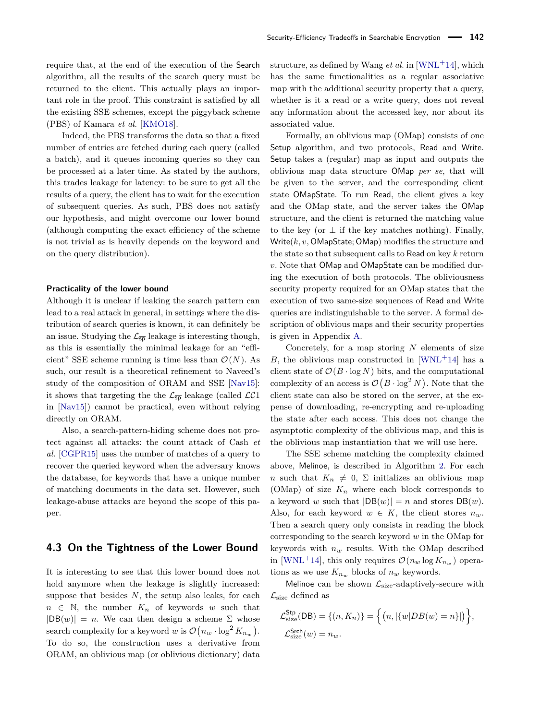require that, at the end of the execution of the Search algorithm, all the results of the search query must be returned to the client. This actually plays an important role in the proof. This constraint is satisfied by all the existing SSE schemes, except the piggyback scheme (PBS) of Kamara *et al.* [\[KMO18\]](#page-16-22).

Indeed, the PBS transforms the data so that a fixed number of entries are fetched during each query (called a batch), and it queues incoming queries so they can be processed at a later time. As stated by the authors, this trades leakage for latency: to be sure to get all the results of a query, the client has to wait for the execution of subsequent queries. As such, PBS does not satisfy our hypothesis, and might overcome our lower bound (although computing the exact efficiency of the scheme is not trivial as is heavily depends on the keyword and on the query distribution).

#### **Practicality of the lower bound**

Although it is unclear if leaking the search pattern can lead to a real attack in general, in settings where the distribution of search queries is known, it can definitely be an issue. Studying the  $\mathcal{L}_{\overline{\text{sp}}}$  leakage is interesting though, as this is essentially the minimal leakage for an "efficient" SSE scheme running is time less than  $\mathcal{O}(N)$ . As such, our result is a theoretical refinement to Naveed's study of the composition of ORAM and SSE [\[Nav15\]](#page-16-14): it shows that targeting the the  $\mathcal{L}_{\overline{SD}}$  leakage (called  $\mathcal{LC}1$ in [\[Nav15\]](#page-16-14)) cannot be practical, even without relying directly on ORAM.

Also, a search-pattern-hiding scheme does not protect against all attacks: the count attack of Cash *et al.* [\[CGPR15\]](#page-15-0) uses the number of matches of a query to recover the queried keyword when the adversary knows the database, for keywords that have a unique number of matching documents in the data set. However, such leakage-abuse attacks are beyond the scope of this paper.

### <span id="page-10-0"></span>**4.3 On the Tightness of the Lower Bound**

It is interesting to see that this lower bound does not hold anymore when the leakage is slightly increased: suppose that besides *N*, the setup also leaks, for each  $n \in \mathbb{N}$ , the number  $K_n$  of keywords *w* such that  $|DB(w)| = n$ . We can then design a scheme  $\Sigma$  whose search complexity for a keyword *w* is  $\mathcal{O}(n_w \cdot \log^2 K_{n_w})$ . To do so, the construction uses a derivative from ORAM, an oblivious map (or oblivious dictionary) data

structure, as defined by Wang *et al.* in [\[WNL](#page-16-23)<sup>+</sup>14], which has the same functionalities as a regular associative map with the additional security property that a query, whether is it a read or a write query, does not reveal any information about the accessed key, nor about its associated value.

Formally, an oblivious map (OMap) consists of one Setup algorithm, and two protocols, Read and Write. Setup takes a (regular) map as input and outputs the oblivious map data structure OMap *per se*, that will be given to the server, and the corresponding client state OMapState. To run Read, the client gives a key and the OMap state, and the server takes the OMap structure, and the client is returned the matching value to the key (or  $\perp$  if the key matches nothing). Finally, Write(*k, v,* OMapState; OMap) modifies the structure and the state so that subsequent calls to Read on key *k* return *v*. Note that OMap and OMapState can be modified during the execution of both protocols. The obliviousness security property required for an OMap states that the execution of two same-size sequences of Read and Write queries are indistinguishable to the server. A formal description of oblivious maps and their security properties is given in Appendix [A.](#page-17-1)

Concretely, for a map storing *N* elements of size *B*, the oblivious map constructed in [\[WNL](#page-16-23)+14] has a client state of  $\mathcal{O}(B \cdot \log N)$  bits, and the computational complexity of an access is  $\mathcal{O}(B \cdot \log^2 N)$ . Note that the client state can also be stored on the server, at the expense of downloading, re-encrypting and re-uploading the state after each access. This does not change the asymptotic complexity of the oblivious map, and this is the oblivious map instantiation that we will use here.

The SSE scheme matching the complexity claimed above, Melinoe, is described in Algorithm [2.](#page-11-1) For each *n* such that  $K_n \neq 0$ ,  $\Sigma$  initializes an oblivious map (OMap) of size  $K_n$  where each block corresponds to a keyword *w* such that  $|DB(w)| = n$  and stores  $DB(w)$ . Also, for each keyword  $w \in K$ , the client stores  $n_w$ . Then a search query only consists in reading the block corresponding to the search keyword *w* in the OMap for keywords with  $n_w$  results. With the OMap described in [\[WNL](#page-16-23)<sup>+</sup>14], this only requires  $\mathcal{O}(n_w \log K_{n_w})$  operations as we use  $K_{n_w}$  blocks of  $n_w$  keywords.

Melinoe can be shown  $\mathcal{L}_{\text{size}}$ -adaptively-secure with  $\mathcal{L}_{size}$  defined as

$$
\mathcal{L}_{\text{size}}^{\text{Stp}}(\text{DB}) = \{(n, K_n)\} = \left\{ (n, |\{w|DB(w) = n\}|) \right\},
$$
  

$$
\mathcal{L}_{\text{size}}^{\text{Stch}}(w) = n_w.
$$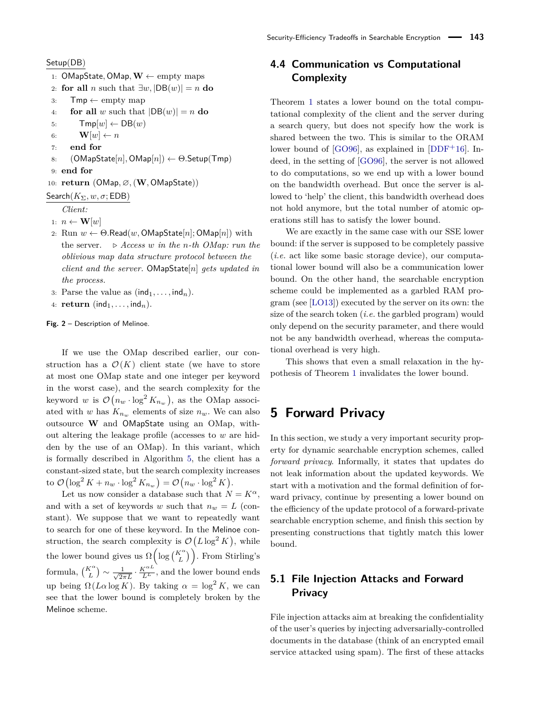#### <span id="page-11-1"></span>Setup(DB)

- 1: OMapState*,* OMap*,***W** ← empty maps
- 2: **for all** *n* such that  $\exists w$ ,  $|DB(w)| = n$  **do**
- 3:  $Tmp \leftarrow \text{empty map}$
- 4: **for all** *w* such that  $|DB(w)| = n$  **do**
- 5:  $Tmp[w] \leftarrow DB(w)$
- 6:  $\mathbf{W}[w] \leftarrow n$
- 7: **end for**
- 8: (OMapState[*n*]*,* OMap[*n*]) ← Θ*.*Setup(Tmp)
- 9: **end for**

10: **return** (OMap*,* ∅*,*(**W***,* OMapState))

### Search $(K_{\Sigma}, w, \sigma; \mathsf{EDB})$

*Client:*

- 1:  $n \leftarrow \mathbf{W}[w]$
- 2: Run  $w \leftarrow \Theta$ *.Read*(*w*, OMapState[*n*]; OMap[*n*]) with the server.  $\triangleright$  *Access w* in the *n*-th *OMap:* run the *oblivious map data structure protocol between the client and the server.* OMapState[*n*] *gets updated in the process.*
- 3: Parse the value as  $(\text{ind}_1, \ldots, \text{ind}_n)$ .
- 4: **return** (ind<sub>1</sub>, ...,  $\text{ind}_n$ ).

**Fig. 2** – Description of Melinoe.

If we use the OMap described earlier, our construction has a  $\mathcal{O}(K)$  client state (we have to store at most one OMap state and one integer per keyword in the worst case), and the search complexity for the keyword *w* is  $\mathcal{O}(n_w \cdot \log^2 K_{n_w})$ , as the OMap associated with *w* has  $K_{n_w}$  elements of size  $n_w$ . We can also outsource **W** and OMapState using an OMap, without altering the leakage profile (accesses to *w* are hidden by the use of an OMap). In this variant, which is formally described in Algorithm [5,](#page-19-1) the client has a constant-sized state, but the search complexity increases to  $\mathcal{O}\left(\log^2 K + n_w \cdot \log^2 K_{n_w}\right) = \mathcal{O}\left(n_w \cdot \log^2 K\right).$ 

Let us now consider a database such that  $N = K^{\alpha}$ , and with a set of keywords *w* such that  $n_w = L$  (constant). We suppose that we want to repeatedly want to search for one of these keyword. In the Melinoe construction, the search complexity is  $\mathcal{O}(L \log^2 K)$ , while the lower bound gives us  $\Omega\left(\log\binom{K^{\alpha}}{L}\right)$ . From Stirling's formula,  $\binom{K^{\alpha}}{L} \sim \frac{1}{\sqrt{2i}}$  $\frac{1}{2\pi L} \cdot \frac{K^{\alpha L}}{L^L}$ , and the lower bound ends up being  $\Omega(L\alpha \log K)$ . By taking  $\alpha = \log^2 K$ , we can see that the lower bound is completely broken by the Melinoe scheme.

## **4.4 Communication vs Computational Complexity**

Theorem [1](#page-7-0) states a lower bound on the total computational complexity of the client and the server during a search query, but does not specify how the work is shared between the two. This is similar to the ORAM lower bound of  $[GO96]$ , as explained in  $[DDF<sup>+</sup>16]$  $[DDF<sup>+</sup>16]$ . Indeed, in the setting of [\[GO96\]](#page-16-1), the server is not allowed to do computations, so we end up with a lower bound on the bandwidth overhead. But once the server is allowed to 'help' the client, this bandwidth overhead does not hold anymore, but the total number of atomic operations still has to satisfy the lower bound.

We are exactly in the same case with our SSE lower bound: if the server is supposed to be completely passive (*i.e.* act like some basic storage device), our computational lower bound will also be a communication lower bound. On the other hand, the searchable encryption scheme could be implemented as a garbled RAM program (see [\[LO13\]](#page-16-2)) executed by the server on its own: the size of the search token (*i.e.* the garbled program) would only depend on the security parameter, and there would not be any bandwidth overhead, whereas the computational overhead is very high.

This shows that even a small relaxation in the hypothesis of Theorem [1](#page-7-0) invalidates the lower bound.

## <span id="page-11-0"></span>**5 Forward Privacy**

In this section, we study a very important security property for dynamic searchable encryption schemes, called *forward privacy*. Informally, it states that updates do not leak information about the updated keywords. We start with a motivation and the formal definition of forward privacy, continue by presenting a lower bound on the efficiency of the update protocol of a forward-private searchable encryption scheme, and finish this section by presenting constructions that tightly match this lower bound.

## **5.1 File Injection Attacks and Forward Privacy**

File injection attacks aim at breaking the confidentiality of the user's queries by injecting adversarially-controlled documents in the database (think of an encrypted email service attacked using spam). The first of these attacks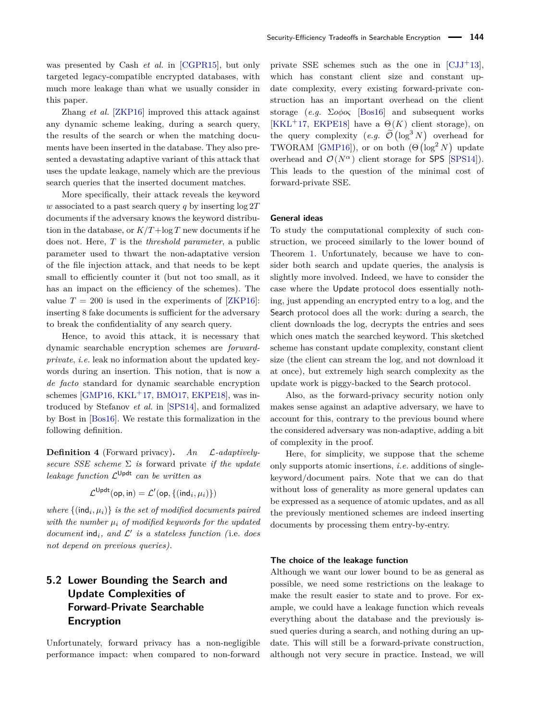was presented by Cash *et al.* in [\[CGPR15\]](#page-15-0), but only targeted legacy-compatible encrypted databases, with much more leakage than what we usually consider in this paper.

Zhang *et al.* [\[ZKP16\]](#page-16-24) improved this attack against any dynamic scheme leaking, during a search query, the results of the search or when the matching documents have been inserted in the database. They also presented a devastating adaptive variant of this attack that uses the update leakage, namely which are the previous search queries that the inserted document matches.

More specifically, their attack reveals the keyword *w* associated to a past search query *q* by inserting log 2*T* documents if the adversary knows the keyword distribution in the database, or  $K/T + \log T$  new documents if he does not. Here, *T* is the *threshold parameter*, a public parameter used to thwart the non-adaptative version of the file injection attack, and that needs to be kept small to efficiently counter it (but not too small, as it has an impact on the efficiency of the schemes). The value  $T = 200$  is used in the experiments of [\[ZKP16\]](#page-16-24): inserting 8 fake documents is sufficient for the adversary to break the confidentiality of any search query.

Hence, to avoid this attack, it is necessary that dynamic searchable encryption schemes are *forwardprivate*, *i.e.* leak no information about the updated keywords during an insertion. This notion, that is now a *de facto* standard for dynamic searchable encryption schemes  $\left[\text{GMP16}, \text{KKL}^+ \text{17}, \text{BMO17}, \text{EKPE18}\right]$  $\left[\text{GMP16}, \text{KKL}^+ \text{17}, \text{BMO17}, \text{EKPE18}\right]$  $\left[\text{GMP16}, \text{KKL}^+ \text{17}, \text{BMO17}, \text{EKPE18}\right]$ , was introduced by Stefanov *et al.* in [\[SPS14\]](#page-16-10), and formalized by Bost in [\[Bos16\]](#page-15-3). We restate this formalization in the following definition.

**Definition 4** (Forward privacy)**.** *An* L*-adaptivelysecure SSE scheme* Σ *is* forward private *if the update leakage function* L Updt *can be written as*

$$
\mathcal{L}^\mathsf{Updt}(\mathsf{op},\mathsf{in}) = \mathcal{L}'(\mathsf{op},\{(\mathsf{ind}_i,\mu_i)\})
$$

*where*  $\{(\text{ind}_i, \mu_i)\}\$ is the set of modified documents paired *with the number µ<sup>i</sup> of modified keywords for the updated*  $document$   $ind_i$ *, and*  $L'$  *is a stateless function* (*i.e. does not depend on previous queries).*

## **5.2 Lower Bounding the Search and Update Complexities of Forward-Private Searchable Encryption**

Unfortunately, forward privacy has a non-negligible performance impact: when compared to non-forward private SSE schemes such as the one in  $\left[{\rm CJJ}^+13\right]$ , which has constant client size and constant update complexity, every existing forward-private construction has an important overhead on the client storage (*e.g.* Σ*oφoς* [\[Bos16\]](#page-15-3) and subsequent works [\[KKL](#page-16-25)<sup>+</sup>17, [EKPE18\]](#page-16-11) have a  $\Theta(K)$  client storage), on the query complexity  $(e.g. \widetilde{\mathcal{O}}(\log^3 N))$  overhead for TWORAM [\[GMP16\]](#page-16-15)), or on both  $(\Theta(\log^2 N)$  update overhead and  $\mathcal{O}(N^{\alpha})$  client storage for SPS [\[SPS14\]](#page-16-10)). This leads to the question of the minimal cost of forward-private SSE.

### **General ideas**

To study the computational complexity of such construction, we proceed similarly to the lower bound of Theorem [1.](#page-7-0) Unfortunately, because we have to consider both search and update queries, the analysis is slightly more involved. Indeed, we have to consider the case where the Update protocol does essentially nothing, just appending an encrypted entry to a log, and the Search protocol does all the work: during a search, the client downloads the log, decrypts the entries and sees which ones match the searched keyword. This sketched scheme has constant update complexity, constant client size (the client can stream the log, and not download it at once), but extremely high search complexity as the update work is piggy-backed to the Search protocol.

Also, as the forward-privacy security notion only makes sense against an adaptive adversary, we have to account for this, contrary to the previous bound where the considered adversary was non-adaptive, adding a bit of complexity in the proof.

Here, for simplicity, we suppose that the scheme only supports atomic insertions, *i.e.* additions of singlekeyword/document pairs. Note that we can do that without loss of generality as more general updates can be expressed as a sequence of atomic updates, and as all the previously mentioned schemes are indeed inserting documents by processing them entry-by-entry.

#### **The choice of the leakage function**

Although we want our lower bound to be as general as possible, we need some restrictions on the leakage to make the result easier to state and to prove. For example, we could have a leakage function which reveals everything about the database and the previously issued queries during a search, and nothing during an update. This will still be a forward-private construction, although not very secure in practice. Instead, we will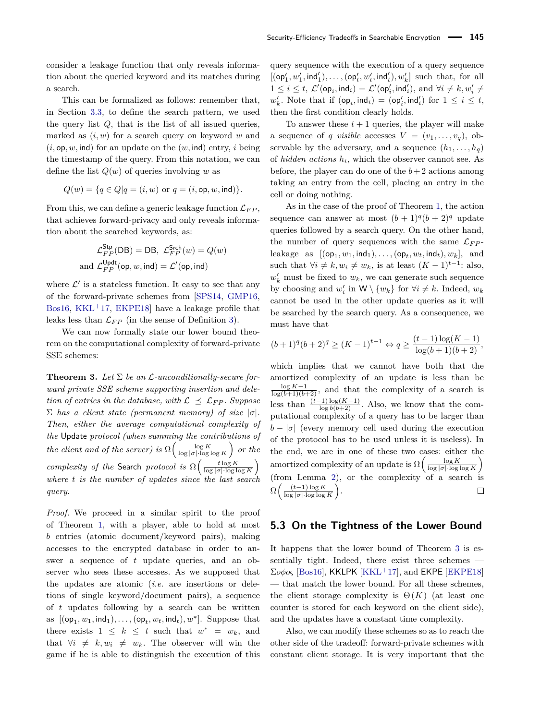consider a leakage function that only reveals information about the queried keyword and its matches during a search.

This can be formalized as follows: remember that, in Section [3.3,](#page-4-1) to define the search pattern, we used the query list  $Q$ , that is the list of all issued queries, marked as (*i, w*) for a search query on keyword *w* and  $(i, \text{op}, w, \text{ind})$  for an update on the  $(w, \text{ind})$  entry, *i* being the timestamp of the query. From this notation, we can define the list *Q*(*w*) of queries involving *w* as

$$
Q(w) = \{q \in Q | q = (i, w) \text{ or } q = (i, \text{op}, w, \text{ind})\}.
$$

From this, we can define a generic leakage function  $\mathcal{L}_{FP}$ , that achieves forward-privacy and only reveals information about the searched keywords, as:

$$
\mathcal{L}_{FP}^{\mathsf{Stp}}(\mathsf{DB}) = \mathsf{DB}, \ \mathcal{L}_{FP}^{\mathsf{Srch}}(w) = Q(w)
$$
  
and 
$$
\mathcal{L}_{FP}^{\mathsf{Updt}}(\mathsf{op}, w, \mathsf{ind}) = \mathcal{L}'(\mathsf{op}, \mathsf{ind})
$$

where  $\mathcal{L}'$  is a stateless function. It easy to see that any of the forward-private schemes from [\[SPS14,](#page-16-10) [GMP16,](#page-16-15) [Bos16,](#page-15-3)  $KKL<sup>+</sup>17$  $KKL<sup>+</sup>17$ , EKPE18 have a leakage profile that leaks less than  $\mathcal{L}_{FP}$  (in the sense of Definition [3\)](#page-5-2).

We can now formally state our lower bound theorem on the computational complexity of forward-private SSE schemes:

<span id="page-13-0"></span>**Theorem 3.** Let  $\Sigma$  be an  $\mathcal{L}$ -unconditionally-secure for*ward private SSE scheme supporting insertion and deletion of entries in the database, with*  $\mathcal{L} \preceq \mathcal{L}_{FP}$ *. Suppose*  $\Sigma$  *has a client state (permanent memory) of size*  $|\sigma|$ *. Then, either the average computational complexity of the* Update *protocol (when summing the contributions of the client and of the server) is*  $\Omega\left(\frac{\log K}{\log |\sigma| \cdot \log \log K}\right)$  *or the complexity of the* Search *protocol is*  $\Omega\left(\frac{t \log K}{\log |\sigma| \cdot \log \log K}\right)$ *where t is the number of updates since the last search query.*

*Proof.* We proceed in a similar spirit to the proof of Theorem [1,](#page-7-0) with a player, able to hold at most *b* entries (atomic document/keyword pairs), making accesses to the encrypted database in order to answer a sequence of *t* update queries, and an observer who sees these accesses. As we supposed that the updates are atomic (*i.e.* are insertions or deletions of single keyword/document pairs), a sequence of *t* updates following by a search can be written as  $[(\mathsf{op}_1, w_1, \mathsf{ind}_1), \ldots, (\mathsf{op}_t, w_t, \mathsf{ind}_t), w^*]$ . Suppose that there exists  $1 \leq k \leq t$  such that  $w^* = w_k$ , and that  $\forall i \neq k, w_i \neq w_k$ . The observer will win the game if he is able to distinguish the execution of this

query sequence with the execution of a query sequence  $[(\mathsf{op}'_1, w'_1, \mathsf{ind}'_1), \dots, (\mathsf{op}'_t, w'_t, \mathsf{ind}'_t), w'_k]$  such that, for all  $1 \leq i \leq t$ ,  $\mathcal{L}'(\mathsf{op}_i, \mathsf{ind}_i) = \mathcal{L}'(\mathsf{op}'_i, \mathsf{ind}'_i)$ , and  $\forall i \neq k, w'_i \neq$  $w'_k$ . Note that if  $(\mathsf{op}_i, \mathsf{ind}_i) = (\mathsf{op}'_i, \mathsf{ind}'_i)$  for  $1 \leq i \leq t$ , then the first condition clearly holds.

To answer these  $t + 1$  queries, the player will make a sequence of *q visible* accesses  $V = (v_1, \ldots, v_q)$ , observable by the adversary, and a sequence  $(h_1, \ldots, h_q)$ of *hidden actions h<sup>i</sup>* , which the observer cannot see. As before, the player can do one of the  $b+2$  actions among taking an entry from the cell, placing an entry in the cell or doing nothing.

As in the case of the proof of Theorem [1,](#page-7-0) the action sequence can answer at most  $(b+1)^q(b+2)^q$  update queries followed by a search query. On the other hand, the number of query sequences with the same  $\mathcal{L}_{FP}$ leakage as  $[(\mathsf{op}_1, w_1, \mathsf{ind}_1), \ldots, (\mathsf{op}_t, w_t, \mathsf{ind}_t), w_k],$  and such that  $\forall i \neq k, w_i \neq w_k$ , is at least  $(K-1)^{t-1}$ : also,  $w'_k$  must be fixed to  $w_k$ , we can generate such sequence by choosing and  $w'_i$  in  $W \setminus \{w_k\}$  for  $\forall i \neq k$ . Indeed,  $w_k$ cannot be used in the other update queries as it will be searched by the search query. As a consequence, we must have that

$$
(b+1)^{q}(b+2)^{q} \ge (K-1)^{t-1} \Leftrightarrow q \ge \frac{(t-1)\log(K-1)}{\log(b+1)(b+2)},
$$

which implies that we cannot have both that the amortized complexity of an update is less than be  $\frac{\log K - 1}{\log(b+1)(b+2)}$ , and that the complexity of a search is less than  $\frac{(t-1)\log(K-1)}{\log b(b+2)}$ . Also, we know that the computational complexity of a query has to be larger than  $b - |\sigma|$  (every memory cell used during the execution of the protocol has to be used unless it is useless). In the end, we are in one of these two cases: either the amortized complexity of an update is  $\Omega\left(\frac{\log K}{\log |\sigma| \cdot \log \log K}\right)$ (from Lemma [2\)](#page-8-0), or the complexity of a search is  $\Omega\left(\frac{(t-1)\log K}{\log|\sigma|\log \log k}\right)$  $\setminus$ .  $\Box$ log |*σ*|·log log *K*

### **5.3 On the Tightness of the Lower Bound**

It happens that the lower bound of Theorem [3](#page-13-0) is essentially tight. Indeed, there exist three schemes — Σ*oφoς* [\[Bos16\]](#page-15-3), KKLPK [\[KKL](#page-16-25)+17], and EKPE [\[EKPE18\]](#page-16-11) — that match the lower bound. For all these schemes, the client storage complexity is  $\Theta(K)$  (at least one counter is stored for each keyword on the client side), and the updates have a constant time complexity.

Also, we can modify these schemes so as to reach the other side of the tradeoff: forward-private schemes with constant client storage. It is very important that the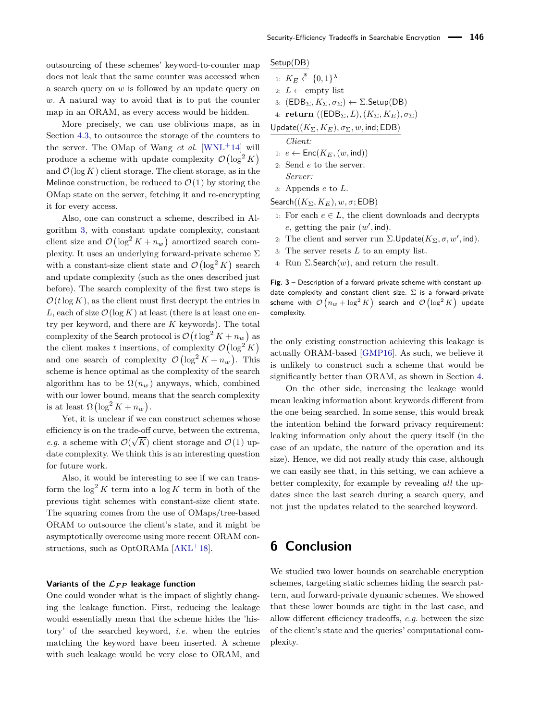outsourcing of these schemes' keyword-to-counter map does not leak that the same counter was accessed when a search query on *w* is followed by an update query on *w*. A natural way to avoid that is to put the counter map in an ORAM, as every access would be hidden.

More precisely, we can use oblivious maps, as in Section [4.3,](#page-10-0) to outsource the storage of the counters to the server. The OMap of Wang  $et \ al.$  [\[WNL](#page-16-23)<sup>+</sup>14] will produce a scheme with update complexity  $\mathcal{O}(\log^2 K)$ and  $\mathcal{O}(\log K)$  client storage. The client storage, as in the Melinoe construction, be reduced to  $\mathcal{O}(1)$  by storing the OMap state on the server, fetching it and re-encrypting it for every access.

Also, one can construct a scheme, described in Algorithm [3,](#page-14-0) with constant update complexity, constant client size and  $\mathcal{O}(\log^2 K + n_w)$  amortized search complexity. It uses an underlying forward-private scheme  $\Sigma$ with a constant-size client state and  $\mathcal{O}(\log^2 K)$  search and update complexity (such as the ones described just before). The search complexity of the first two steps is  $\mathcal{O}(t \log K)$ , as the client must first decrypt the entries in L, each of size  $\mathcal{O}(\log K)$  at least (there is at least one entry per keyword, and there are *K* keywords). The total complexity of the Search protocol is  $\mathcal{O}\left(t\log^2 K + n_w\right)$  as the client makes *t* insertions, of complexity  $\mathcal{O}(\log^2 K)$ and one search of complexity  $\mathcal{O}(\log^2 K + n_w)$ . This scheme is hence optimal as the complexity of the search algorithm has to be  $\Omega(n_w)$  anyways, which, combined with our lower bound, means that the search complexity is at least  $\Omega\left(\log^2 K + n_w\right)$ .

Yet, it is unclear if we can construct schemes whose efficiency is on the trade-off curve, between the extrema, *e.g.* a scheme with  $\mathcal{O}(\sqrt{K})$  client storage and  $\mathcal{O}(1)$  update complexity. We think this is an interesting question for future work.

Also, it would be interesting to see if we can transform the  $\log^2 K$  term into a  $\log K$  term in both of the previous tight schemes with constant-size client state. The squaring comes from the use of OMaps/tree-based ORAM to outsource the client's state, and it might be asymptotically overcome using more recent ORAM con-structions, such as OptORAMa [\[AKL](#page-15-19)<sup>+</sup>18].

#### Variants of the  $\mathcal{L}_{FP}$  leakage function

One could wonder what is the impact of slightly changing the leakage function. First, reducing the leakage would essentially mean that the scheme hides the 'history' of the searched keyword, *i.e.* when the entries matching the keyword have been inserted. A scheme with such leakage would be very close to ORAM, and <span id="page-14-0"></span>Setup(DB)

1:  $K_E \overset{\$}{\leftarrow} \{0,1\}^{\lambda}$ 2:  $L \leftarrow \text{empty list}$ 3:  $(EDB_{\Sigma}, K_{\Sigma}, \sigma_{\Sigma}) \leftarrow \Sigma$ *.Setup(DB)* 

4: **return**  $((\text{EDB}_{\Sigma}, L), (K_{\Sigma}, K_{E}), \sigma_{\Sigma})$ 

Update $((K_{\Sigma}, K_{E}), \sigma_{\Sigma}, w, \text{ind}; \text{EDB})$ 

*Client:*

- 1:  $e \leftarrow \text{Enc}(K_E, (w, \text{ind}))$
- 2: Send *e* to the server. *Server:*
- 3: Appends *e* to *L*.

$$
{\sf Search}((K_\Sigma,K_E),w,\sigma; {\sf EDB})
$$

- 1: For each  $e \in L$ , the client downloads and decrypts  $e$ , getting the pair  $(w', \text{ind})$ .
- 2: The client and server run  $\Sigma$ . Update( $K_{\Sigma}$ ,  $\sigma$ ,  $w'$ , ind).
- 3: The server resets *L* to an empty list.
- 4: Run  $\Sigma$ **. Search** $(w)$ , and return the result.

**Fig. 3** – Description of a forward private scheme with constant update complexity and constant client size.  $\Sigma$  is a forward-private scheme with  $\mathcal{O}\left(n_w + \log^2 K \right)$  search and  $\mathcal{O}\left(\log^2 K \right)$  update complexity.

the only existing construction achieving this leakage is actually ORAM-based [\[GMP16\]](#page-16-15). As such, we believe it is unlikely to construct such a scheme that would be significantly better than ORAM, as shown in Section [4.](#page-6-0)

On the other side, increasing the leakage would mean leaking information about keywords different from the one being searched. In some sense, this would break the intention behind the forward privacy requirement: leaking information only about the query itself (in the case of an update, the nature of the operation and its size). Hence, we did not really study this case, although we can easily see that, in this setting, we can achieve a better complexity, for example by revealing *all* the updates since the last search during a search query, and not just the updates related to the searched keyword.

# **6 Conclusion**

We studied two lower bounds on searchable encryption schemes, targeting static schemes hiding the search pattern, and forward-private dynamic schemes. We showed that these lower bounds are tight in the last case, and allow different efficiency tradeoffs, *e.g.* between the size of the client's state and the queries' computational complexity.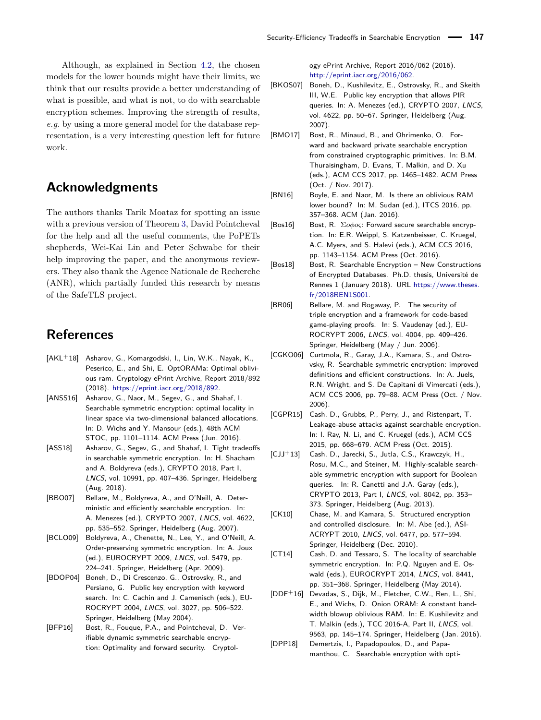Although, as explained in Section [4.2,](#page-9-0) the chosen models for the lower bounds might have their limits, we think that our results provide a better understanding of what is possible, and what is not, to do with searchable encryption schemes. Improving the strength of results, *e.g.* by using a more general model for the database representation, is a very interesting question left for future work.

## **Acknowledgments**

The authors thanks Tarik Moataz for spotting an issue with a previous version of Theorem [3,](#page-13-0) David Pointcheval for the help and all the useful comments, the PoPETs shepherds, Wei-Kai Lin and Peter Schwabe for their help improving the paper, and the anonymous reviewers. They also thank the Agence Nationale de Recherche (ANR), which partially funded this research by means of the SafeTLS project.

## **References**

- <span id="page-15-19"></span>[AKL+18] Asharov, G., Komargodski, I., Lin, W.K., Nayak, K., Peserico, E., and Shi, E. OptORAMa: Optimal oblivious ram. Cryptology ePrint Archive, Report 2018/892 (2018). [https://eprint.iacr.org/2018/892.](https://eprint.iacr.org/2018/892)
- <span id="page-15-11"></span>[ANSS16] Asharov, G., Naor, M., Segev, G., and Shahaf, I. Searchable symmetric encryption: optimal locality in linear space via two-dimensional balanced allocations. In: D. Wichs and Y. Mansour (eds.), 48th ACM STOC, pp. 1101–1114. ACM Press (Jun. 2016).
- <span id="page-15-12"></span>[ASS18] Asharov, G., Segev, G., and Shahaf, I. Tight tradeoffs in searchable symmetric encryption. In: H. Shacham and A. Boldyreva (eds.), CRYPTO 2018, Part I, LNCS, vol. 10991, pp. 407–436. Springer, Heidelberg (Aug. 2018).
- <span id="page-15-9"></span>[BBO07] Bellare, M., Boldyreva, A., and O'Neill, A. Deterministic and efficiently searchable encryption. In: A. Menezes (ed.), CRYPTO 2007, LNCS, vol. 4622, pp. 535–552. Springer, Heidelberg (Aug. 2007).
- <span id="page-15-6"></span>[BCLO09] Boldyreva, A., Chenette, N., Lee, Y., and O'Neill, A. Order-preserving symmetric encryption. In: A. Joux (ed.), EUROCRYPT 2009, LNCS, vol. 5479, pp. 224–241. Springer, Heidelberg (Apr. 2009).
- <span id="page-15-7"></span>[BDOP04] Boneh, D., Di Crescenzo, G., Ostrovsky, R., and Persiano, G. Public key encryption with keyword search. In: C. Cachin and J. Camenisch (eds.), EU-ROCRYPT 2004, LNCS, vol. 3027, pp. 506–522. Springer, Heidelberg (May 2004).
- <span id="page-15-14"></span>[BFP16] Bost, R., Fouque, P.A., and Pointcheval, D. Verifiable dynamic symmetric searchable encryption: Optimality and forward security. Cryptol-

ogy ePrint Archive, Report 2016/062 (2016). [http://eprint.iacr.org/2016/062.](http://eprint.iacr.org/2016/062)

- <span id="page-15-8"></span>[BKOS07] Boneh, D., Kushilevitz, E., Ostrovsky, R., and Skeith III, W.E. Public key encryption that allows PIR queries. In: A. Menezes (ed.), CRYPTO 2007, LNCS, vol. 4622, pp. 50–67. Springer, Heidelberg (Aug. 2007).
- <span id="page-15-4"></span>[BMO17] Bost, R., Minaud, B., and Ohrimenko, O. Forward and backward private searchable encryption from constrained cryptographic primitives. In: B.M. Thuraisingham, D. Evans, T. Malkin, and D. Xu (eds.), ACM CCS 2017, pp. 1465–1482. ACM Press (Oct. / Nov. 2017).
- <span id="page-15-16"></span>[BN16] Boyle, E. and Naor, M. Is there an oblivious RAM lower bound? In: M. Sudan (ed.), ITCS 2016, pp. 357–368. ACM (Jan. 2016).
- <span id="page-15-3"></span>[Bos16] Bost, R. Σ*oφoς*: Forward secure searchable encryption. In: E.R. Weippl, S. Katzenbeisser, C. Kruegel, A.C. Myers, and S. Halevi (eds.), ACM CCS 2016, pp. 1143–1154. ACM Press (Oct. 2016).
- <span id="page-15-18"></span>[Bos18] Bost, R. Searchable Encryption – New Constructions of Encrypted Databases. Ph.D. thesis, Université de Rennes 1 (January 2018). URL [https://www.theses.](https://www.theses.fr/2018REN1S001) [fr/2018REN1S001.](https://www.theses.fr/2018REN1S001)
- <span id="page-15-17"></span>[BR06] Bellare, M. and Rogaway, P. The security of triple encryption and a framework for code-based game-playing proofs. In: S. Vaudenay (ed.), EU-ROCRYPT 2006, LNCS, vol. 4004, pp. 409–426. Springer, Heidelberg (May / Jun. 2006).
- <span id="page-15-1"></span>[CGKO06] Curtmola, R., Garay, J.A., Kamara, S., and Ostrovsky, R. Searchable symmetric encryption: improved definitions and efficient constructions. In: A. Juels, R.N. Wright, and S. De Capitani di Vimercati (eds.), ACM CCS 2006, pp. 79–88. ACM Press (Oct. / Nov. 2006).
- <span id="page-15-0"></span>[CGPR15] Cash, D., Grubbs, P., Perry, J., and Ristenpart, T. Leakage-abuse attacks against searchable encryption. In: I. Ray, N. Li, and C. Kruegel (eds.), ACM CCS 2015, pp. 668–679. ACM Press (Oct. 2015).
- <span id="page-15-2"></span>[CJJ+13] Cash, D., Jarecki, S., Jutla, C.S., Krawczyk, H., Rosu, M.C., and Steiner, M. Highly-scalable searchable symmetric encryption with support for Boolean queries. In: R. Canetti and J.A. Garay (eds.), CRYPTO 2013, Part I, LNCS, vol. 8042, pp. 353– 373. Springer, Heidelberg (Aug. 2013).
- <span id="page-15-5"></span>[CK10] Chase, M. and Kamara, S. Structured encryption and controlled disclosure. In: M. Abe (ed.), ASI-ACRYPT 2010, LNCS, vol. 6477, pp. 577–594. Springer, Heidelberg (Dec. 2010).
- <span id="page-15-10"></span>[CT14] Cash, D. and Tessaro, S. The locality of searchable symmetric encryption. In: P.Q. Nguyen and E. Oswald (eds.), EUROCRYPT 2014, LNCS, vol. 8441, pp. 351–368. Springer, Heidelberg (May 2014).
- <span id="page-15-15"></span>[DDF+16] Devadas, S., Dijk, M., Fletcher, C.W., Ren, L., Shi, E., and Wichs, D. Onion ORAM: A constant bandwidth blowup oblivious RAM. In: E. Kushilevitz and T. Malkin (eds.), TCC 2016-A, Part II, LNCS, vol. 9563, pp. 145–174. Springer, Heidelberg (Jan. 2016).
- <span id="page-15-13"></span>[DPP18] Demertzis, I., Papadopoulos, D., and Papamanthou, C. Searchable encryption with opti-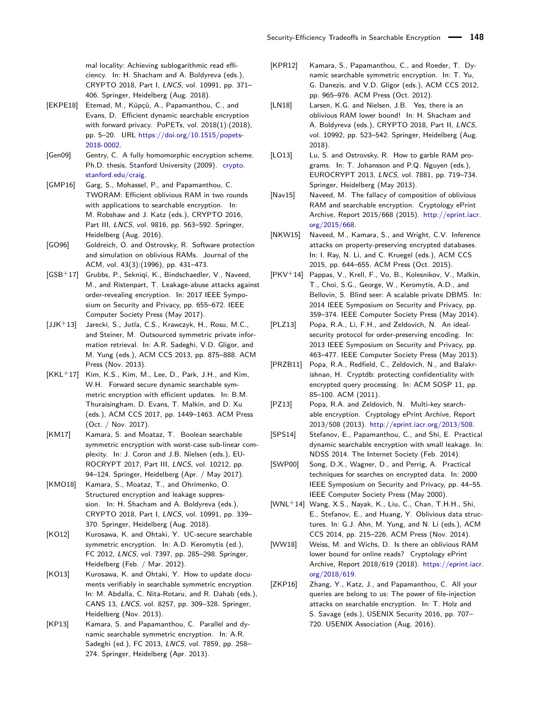mal locality: Achieving sublogarithmic read efficiency. In: H. Shacham and A. Boldyreva (eds.), CRYPTO 2018, Part I, LNCS, vol. 10991, pp. 371– 406. Springer, Heidelberg (Aug. 2018).

- <span id="page-16-11"></span>[EKPE18] Etemad, M., Küpçü, A., Papamanthou, C., and Evans, D. Efficient dynamic searchable encryption with forward privacy. PoPETs, vol. 2018(1):(2018), pp. 5–20. URL [https://doi.org/10.1515/popets-](https://doi.org/10.1515/popets-2018-0002)[2018-0002.](https://doi.org/10.1515/popets-2018-0002)
- <span id="page-16-0"></span>[Gen09] Gentry, C. A fully homomorphic encryption scheme. Ph.D. thesis, Stanford University (2009). [crypto.](crypto.stanford.edu/craig) [stanford.edu/craig.](crypto.stanford.edu/craig)
- <span id="page-16-15"></span>[GMP16] Garg, S., Mohassel, P., and Papamanthou, C. TWORAM: Efficient oblivious RAM in two rounds with applications to searchable encryption. In: M. Robshaw and J. Katz (eds.), CRYPTO 2016, Part III, LNCS, vol. 9816, pp. 563–592. Springer, Heidelberg (Aug. 2016).
- <span id="page-16-1"></span>[GO96] Goldreich, O. and Ostrovsky, R. Software protection and simulation on oblivious RAMs. Journal of the ACM, vol. 43(3):(1996), pp. 431–473.
- <span id="page-16-5"></span>[GSB+17] Grubbs, P., Sekniqi, K., Bindschaedler, V., Naveed, M., and Ristenpart, T. Leakage-abuse attacks against order-revealing encryption. In: 2017 IEEE Symposium on Security and Privacy, pp. 655–672. IEEE Computer Society Press (May 2017).
- <span id="page-16-19"></span>[JJK+13] Jarecki, S., Jutla, C.S., Krawczyk, H., Rosu, M.C., and Steiner, M. Outsourced symmetric private information retrieval. In: A.R. Sadeghi, V.D. Gligor, and M. Yung (eds.), ACM CCS 2013, pp. 875–888. ACM Press (Nov. 2013).
- <span id="page-16-25"></span> $[KKL+17]$  Kim, K.S., Kim, M., Lee, D., Park, J.H., and Kim, W.H. Forward secure dynamic searchable symmetric encryption with efficient updates. In: B.M. Thuraisingham, D. Evans, T. Malkin, and D. Xu (eds.), ACM CCS 2017, pp. 1449–1463. ACM Press (Oct. / Nov. 2017).
- <span id="page-16-13"></span>[KM17] Kamara, S. and Moataz, T. Boolean searchable symmetric encryption with worst-case sub-linear complexity. In: J. Coron and J.B. Nielsen (eds.), EU-ROCRYPT 2017, Part III, LNCS, vol. 10212, pp. 94–124. Springer, Heidelberg (Apr. / May 2017).
- <span id="page-16-22"></span>[KMO18] Kamara, S., Moataz, T., and Ohrimenko, O. Structured encryption and leakage suppression. In: H. Shacham and A. Boldyreva (eds.), CRYPTO 2018, Part I, LNCS, vol. 10991, pp. 339– 370. Springer, Heidelberg (Aug. 2018).
- <span id="page-16-6"></span>[KO12] Kurosawa, K. and Ohtaki, Y. UC-secure searchable symmetric encryption. In: A.D. Keromytis (ed.), FC 2012, LNCS, vol. 7397, pp. 285–298. Springer, Heidelberg (Feb. / Mar. 2012).
- <span id="page-16-16"></span>[KO13] Kurosawa, K. and Ohtaki, Y. How to update documents verifiably in searchable symmetric encryption. In: M. Abdalla, C. Nita-Rotaru, and R. Dahab (eds.), CANS 13, LNCS, vol. 8257, pp. 309–328. Springer, Heidelberg (Nov. 2013).
- <span id="page-16-8"></span>[KP13] Kamara, S. and Papamanthou, C. Parallel and dynamic searchable symmetric encryption. In: A.R. Sadeghi (ed.), FC 2013, LNCS, vol. 7859, pp. 258– 274. Springer, Heidelberg (Apr. 2013).
- <span id="page-16-7"></span>[KPR12] Kamara, S., Papamanthou, C., and Roeder, T. Dynamic searchable symmetric encryption. In: T. Yu, G. Danezis, and V.D. Gligor (eds.), ACM CCS 2012, pp. 965–976. ACM Press (Oct. 2012).
- <span id="page-16-21"></span>[LN18] Larsen, K.G. and Nielsen, J.B. Yes, there is an oblivious RAM lower bound! In: H. Shacham and A. Boldyreva (eds.), CRYPTO 2018, Part II, LNCS, vol. 10992, pp. 523–542. Springer, Heidelberg (Aug. 2018).
- <span id="page-16-2"></span>[LO13] Lu, S. and Ostrovsky, R. How to garble RAM programs. In: T. Johansson and P.Q. Nguyen (eds.), EUROCRYPT 2013, LNCS, vol. 7881, pp. 719–734. Springer, Heidelberg (May 2013).
- <span id="page-16-14"></span>[Nav15] Naveed, M. The fallacy of composition of oblivious RAM and searchable encryption. Cryptology ePrint Archive, Report 2015/668 (2015). [http://eprint.iacr.](http://eprint.iacr.org/2015/668) [org/2015/668.](http://eprint.iacr.org/2015/668)
- <span id="page-16-4"></span>[NKW15] Naveed, M., Kamara, S., and Wright, C.V. Inference attacks on property-preserving encrypted databases. In: I. Ray, N. Li, and C. Kruegel (eds.), ACM CCS 2015, pp. 644–655. ACM Press (Oct. 2015).
- <span id="page-16-9"></span>[PKV+14] Pappas, V., Krell, F., Vo, B., Kolesnikov, V., Malkin, T., Choi, S.G., George, W., Keromytis, A.D., and Bellovin, S. Blind seer: A scalable private DBMS. In: 2014 IEEE Symposium on Security and Privacy, pp. 359–374. IEEE Computer Society Press (May 2014).
- <span id="page-16-17"></span>[PLZ13] Popa, R.A., Li, F.H., and Zeldovich, N. An idealsecurity protocol for order-preserving encoding. In: 2013 IEEE Symposium on Security and Privacy, pp. 463–477. IEEE Computer Society Press (May 2013).
- <span id="page-16-3"></span>[PRZB11] Popa, R.A., Redfield, C., Zeldovich, N., and Balakrishnan, H. Cryptdb: protecting confidentiality with encrypted query processing. In: ACM SOSP 11, pp. 85–100. ACM (2011).
- <span id="page-16-18"></span>[PZ13] Popa, R.A. and Zeldovich, N. Multi-key searchable encryption. Cryptology ePrint Archive, Report 2013/508 (2013). [http://eprint.iacr.org/2013/508.](http://eprint.iacr.org/2013/508)
- <span id="page-16-10"></span>[SPS14] Stefanov, E., Papamanthou, C., and Shi, E. Practical dynamic searchable encryption with small leakage. In: NDSS 2014. The Internet Society (Feb. 2014).
- <span id="page-16-12"></span>[SWP00] Song, D.X., Wagner, D., and Perrig, A. Practical techniques for searches on encrypted data. In: 2000 IEEE Symposium on Security and Privacy, pp. 44–55. IEEE Computer Society Press (May 2000).
- <span id="page-16-23"></span>[WNL+14] Wang, X.S., Nayak, K., Liu, C., Chan, T.H.H., Shi, E., Stefanov, E., and Huang, Y. Oblivious data structures. In: G.J. Ahn, M. Yung, and N. Li (eds.), ACM CCS 2014, pp. 215–226. ACM Press (Nov. 2014).
- <span id="page-16-20"></span>[WW18] Weiss, M. and Wichs, D. Is there an oblivious RAM lower bound for online reads? Cryptology ePrint Archive, Report 2018/619 (2018). [https://eprint.iacr.](https://eprint.iacr.org/2018/619) [org/2018/619.](https://eprint.iacr.org/2018/619)
- <span id="page-16-24"></span>[ZKP16] Zhang, Y., Katz, J., and Papamanthou, C. All your queries are belong to us: The power of file-injection attacks on searchable encryption. In: T. Holz and S. Savage (eds.), USENIX Security 2016, pp. 707– 720. USENIX Association (Aug. 2016).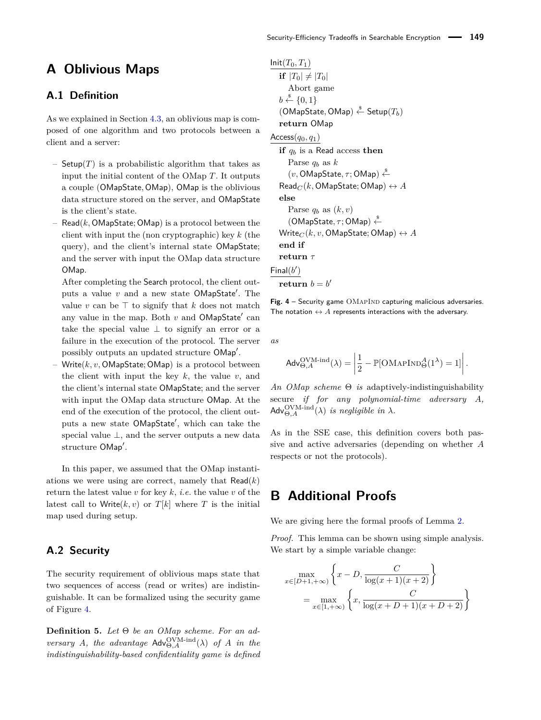## <span id="page-17-1"></span>**A Oblivious Maps**

### **A.1 Definition**

As we explained in Section [4.3,](#page-10-0) an oblivious map is composed of one algorithm and two protocols between a client and a server:

- Setup $(T)$  is a probabilistic algorithm that takes as input the initial content of the OMap *T*. It outputs a couple (OMapState*,* OMap), OMap is the oblivious data structure stored on the server, and OMapState is the client's state.
- $\mathsf{Read}(k, \mathsf{OMapState}; \mathsf{OMap})$  is a protocol between the client with input the (non cryptographic) key *k* (the query), and the client's internal state OMapState; and the server with input the OMap data structure OMap.

After completing the Search protocol, the client outputs a value  $v$  and a new state  $\mathsf{OMapState}'.$  The value  $v$  can be  $\top$  to signify that  $k$  does not match any value in the map. Both  $v$  and  $\mathsf{OMapState}'$  can take the special value  $\perp$  to signify an error or a failure in the execution of the protocol. The server possibly outputs an updated structure OMap'.

– Write(*k, v,* OMapState; OMap) is a protocol between the client with input the key *k*, the value *v*, and the client's internal state OMapState; and the server with input the OMap data structure OMap. At the end of the execution of the protocol, the client outputs a new state OMapState', which can take the special value ⊥, and the server outputs a new data structure OMap'.

In this paper, we assumed that the OMap instantiations we were using are correct, namely that  $\mathsf{Read}(k)$ return the latest value  $v$  for key  $k$ , *i.e.* the value  $v$  of the latest call to Write $(k, v)$  or  $T[k]$  where  $T$  is the initial map used during setup.

### **A.2 Security**

The security requirement of oblivious maps state that two sequences of access (read or writes) are indistinguishable. It can be formalized using the security game of Figure [4.](#page-17-2)

**Definition 5.** *Let* Θ *be an OMap scheme. For an adversary A, the advantage*  $\mathsf{Adv}_{\Theta, A}^{\text{OVM-ind}}(\lambda)$  *of A in the indistinguishability-based confidentiality game is defined*

<span id="page-17-2"></span> $Init(T_0, T_1)$ **if**  $|T_0| \neq |T_0|$ Abort game  $b \stackrel{\$}{\leftarrow} \{0,1\}$  $(OMapState, OMap) \overset{\hspace{0.1em}\mathsf{\scriptscriptstyle\$}}{\leftarrow} Setup(T_b)$ **return** OMap Access(*q*0*, q*1) **if** *q<sup>b</sup>* is a Read access **then** Parse  $q_b$  as  $k$  $(v, \textsf{OMapState}, \tau; \textsf{OMap}) \overset{§}{\leftarrow}$  $\text{Read}_C(k, \text{OMapState}; \text{OMap}) \leftrightarrow A$ **else** Parse  $q_b$  as  $(k, v)$  $(OMapState, τ; OMap) \xleftarrow{\$}$  $Write_C(k, v, OMapState; OMap) \leftrightarrow A$ **end if return** *τ*  $Final(b')$  $\textbf{return } b = b'$ 

Fig. 4 – Security game OMAPIND capturing malicious adversaries. The notation  $\leftrightarrow A$  represents interactions with the adversary.

*as*

$$
\mathsf{Adv}_{\Theta,A}^{\mathrm{QVM\text{-}ind}}(\lambda) = \left| \frac{1}{2} - \mathbb{P}[\mathrm{OMAPIND}_{\Theta}^{A}(1^{\lambda}) = 1] \right|.
$$

*An OMap scheme* Θ *is* adaptively-indistinguishability secure *if for any polynomial-time adversary A,*  $\mathsf{Adv}_{\Theta,A}^{\text{OVM-ind}}(\lambda)$  *is negligible in*  $\lambda$ *.* 

As in the SSE case, this definition covers both passive and active adversaries (depending on whether *A* respects or not the protocols).

## <span id="page-17-0"></span>**B Additional Proofs**

We are giving here the formal proofs of Lemma [2.](#page-8-0)

*Proof.* This lemma can be shown using simple analysis. We start by a simple variable change:

$$
\max_{x \in [D+1, +\infty)} \left\{ x - D, \frac{C}{\log(x+1)(x+2)} \right\}
$$

$$
= \max_{x \in [1, +\infty)} \left\{ x, \frac{C}{\log(x+D+1)(x+D+2)} \right\}
$$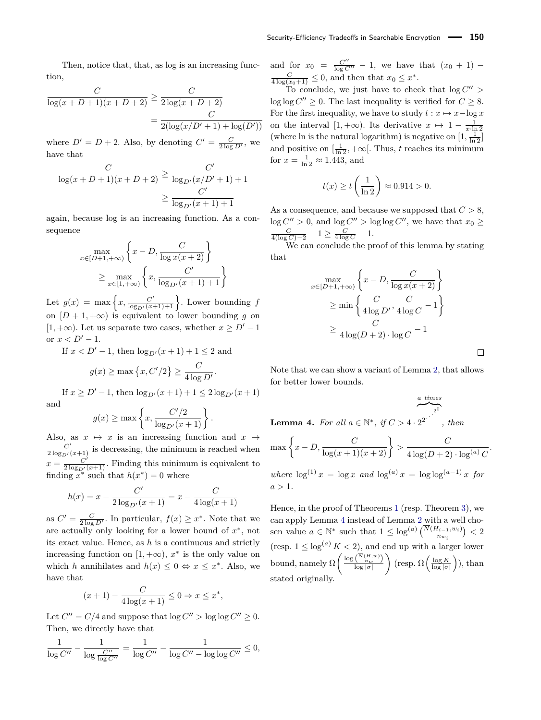Then, notice that, that, as log is an increasing function,

$$
\frac{C}{\log(x+D+1)(x+D+2)} \ge \frac{C}{2\log(x+D+2)}
$$
  
= 
$$
\frac{C}{2(\log(x/D'+1) + \log(D'))}
$$

where  $D' = D + 2$ . Also, by denoting  $C' = \frac{C}{2 \log D'}$ , we have that

$$
\frac{C}{\log(x+D+1)(x+D+2)} \ge \frac{C'}{\log_{D'}(x/D'+1)+1}
$$

$$
\ge \frac{C'}{\log_{D'}(x+1)+1}
$$

again, because log is an increasing function. As a consequence

$$
\max_{x \in [D+1, +\infty)} \left\{ x - D, \frac{C}{\log x(x+2)} \right\}
$$

$$
\geq \max_{x \in [1, +\infty)} \left\{ x, \frac{C'}{\log_{D'}(x+1) + 1} \right\}
$$

Let  $g(x) = \max\left\{x, \frac{C'}{\log_{D'}(x+1)+1}\right\}$ . Lower bounding *f* on  $[D+1, +\infty)$  is equivalent to lower bounding *g* on [1, +∞). Let us separate two cases, whether  $x \ge D' - 1$ or  $x < D' - 1$ .

If  $x < D' - 1$ , then  $\log_{D'}(x+1) + 1 \leq 2$  and

$$
g(x) \ge \max\left\{x, C'/2\right\} \ge \frac{C}{4\log D'}.
$$

If  $x \ge D' - 1$ , then  $\log_{D'}(x+1) + 1 \le 2 \log_{D'}(x+1)$ and

$$
g(x) \ge \max \left\{ x, \frac{C'/2}{\log_{D'}(x+1)} \right\}.
$$

Also, as  $x \mapsto x$  is an increasing function and  $x \mapsto$  $\frac{C'}{2 \log_{D'}(x+1)}$  is decreasing, the minimum is reached when  $x = \frac{C'}{2 \log_{D'}(x+1)}$ . Finding this minimum is equivalent to finding  $x^*$  such that  $h(x^*) = 0$  where

$$
h(x) = x - \frac{C'}{2\log_{D'}(x+1)} = x - \frac{C}{4\log(x+1)}
$$

as  $C' = \frac{C}{2 \log D'}$ . In particular,  $f(x) \geq x^*$ . Note that we are actually only looking for a lower bound of  $x^*$ , not its exact value. Hence, as *h* is a continuous and strictly increasing function on  $[1, +\infty)$ ,  $x^*$  is the only value on which *h* annihilates and  $h(x) \leq 0 \Leftrightarrow x \leq x^*$ . Also, we have that

$$
(x+1) - \frac{C}{4\log(x+1)} \le 0 \Rightarrow x \le x^*,
$$

Let  $C'' = C/4$  and suppose that  $\log C'' > \log \log C'' \geq 0$ . Then, we directly have that

$$
\frac{1}{\log C''}-\frac{1}{\log \frac{C''}{\log C''}}=\frac{1}{\log C''}-\frac{1}{\log C''-\log \log C''}\leq 0,
$$

and for  $x_0 = \frac{C''}{\log C''} - 1$ , we have that  $(x_0 + 1)$  –  $\frac{C}{4\log(x_0+1)} \leq 0$ , and then that  $x_0 \leq x^*$ .

To conclude, we just have to check that  $log C''$  $\log \log C'' \geq 0$ . The last inequality is verified for  $C \geq 8$ . For the first inequality, we have to study  $t : x \mapsto x - \log x$ on the interval  $[1, +\infty)$ . Its derivative  $x \mapsto 1 - \frac{1}{x \cdot \ln 2}$ (where ln is the natural logarithm) is negative on  $[1, \frac{1}{\ln 2}]$ and positive on  $\left[\frac{1}{\ln 2}, +\infty\right]$ . Thus, *t* reaches its minimum for  $x = \frac{1}{\ln 2} \approx 1.443$ , and

$$
t(x) \ge t\left(\frac{1}{\ln 2}\right) \approx 0.914 > 0.
$$

As a consequence, and because we supposed that *C >* 8,  $\log C'' > 0$ , and  $\log C'' > \log \log C''$ , we have that  $x_0 \ge$  $\frac{C}{4(\log C)-2} - 1 \ge \frac{C}{4 \log C} - 1.$ 

We can conclude the proof of this lemma by stating that

$$
\max_{x \in [D+1, +\infty)} \left\{ x - D, \frac{C}{\log x(x+2)} \right\}
$$

$$
\geq \min \left\{ \frac{C}{4 \log D'}, \frac{C}{4 \log C} - 1 \right\}
$$

$$
\geq \frac{C}{4 \log(D+2) \cdot \log C} - 1
$$

Note that we can show a variant of Lemma [2,](#page-8-0) that allows for better lower bounds.

$$
\overbrace{\qquad \qquad }^{a \ times}_{\qquad 2^0}
$$

 $\Box$ 

<span id="page-18-0"></span>**Lemma 4.** *For all*  $a \in \mathbb{N}^*$ *, if*  $C > 4 \cdot 2^{2^{n^2}}$ *, then*

$$
\max\left\{x - D, \frac{C}{\log(x+1)(x+2)}\right\} > \frac{C}{4\log(D+2)\cdot\log^{(a)}C}.
$$

 $where \log^{(1)} x = \log x$  *and*  $\log^{(a)} x = \log \log^{(a-1)} x$  *for*  $a > 1$ .

Hence, in the proof of Theorems [1](#page-7-0) (resp. Theorem [3\)](#page-13-0), we can apply Lemma [4](#page-18-0) instead of Lemma [2](#page-8-0) with a well chosen value  $a \in \mathbb{N}^*$  such that  $1 \leq \log^{(a)} \binom{N(H_{i-1}, w_i)}{n_{w_i}} < 2$ (resp.  $1 \leq \log^{(a)} K < 2$ ), and end up with a larger lower bound, namely  $\Omega\left(\frac{\log\left(\frac{\overline{N}(H,w)}{n_w}\right)}{\log|\sigma|}\right)$ log |*σ*|  $\binom{\log K}{\log |\sigma|}, \text{ than }$ stated originally.